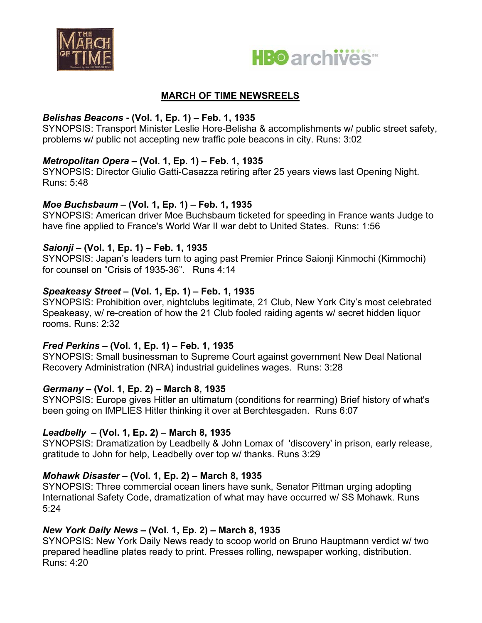



## **MARCH OF TIME NEWSREELS**

# *Belishas Beacons* **- (Vol. 1, Ep. 1) – Feb. 1, 1935**

SYNOPSIS: Transport Minister Leslie Hore-Belisha & accomplishments w/ public street safety, problems w/ public not accepting new traffic pole beacons in city. Runs: 3:02

# *Metropolitan Opera* **– (Vol. 1, Ep. 1) – Feb. 1, 1935**

SYNOPSIS: Director Giulio Gatti-Casazza retiring after 25 years views last Opening Night. Runs: 5:48

# *Moe Buchsbaum* **– (Vol. 1, Ep. 1) – Feb. 1, 1935**

SYNOPSIS: American driver Moe Buchsbaum ticketed for speeding in France wants Judge to have fine applied to France's World War II war debt to United States. Runs: 1:56

# *Saionji* **– (Vol. 1, Ep. 1) – Feb. 1, 1935**

SYNOPSIS: Japan's leaders turn to aging past Premier Prince Saionji Kinmochi (Kimmochi) for counsel on "Crisis of 1935-36". Runs 4:14

# *Speakeasy Street* **– (Vol. 1, Ep. 1) – Feb. 1, 1935**

SYNOPSIS: Prohibition over, nightclubs legitimate, 21 Club, New York City's most celebrated Speakeasy, w/ re-creation of how the 21 Club fooled raiding agents w/ secret hidden liquor rooms. Runs: 2:32

# *Fred Perkins* **– (Vol. 1, Ep. 1) – Feb. 1, 1935**

SYNOPSIS: Small businessman to Supreme Court against government New Deal National Recovery Administration (NRA) industrial guidelines wages. Runs: 3:28

# *Germany* **– (Vol. 1, Ep. 2) – March 8, 1935**

SYNOPSIS: Europe gives Hitler an ultimatum (conditions for rearming) Brief history of what's been going on IMPLIES Hitler thinking it over at Berchtesgaden. Runs 6:07

# *Leadbelly* **– (Vol. 1, Ep. 2) – March 8, 1935**

SYNOPSIS: Dramatization by Leadbelly & John Lomax of 'discovery' in prison, early release, gratitude to John for help, Leadbelly over top w/ thanks. Runs 3:29

# *Mohawk Disaster* **– (Vol. 1, Ep. 2) – March 8, 1935**

SYNOPSIS: Three commercial ocean liners have sunk, Senator Pittman urging adopting International Safety Code, dramatization of what may have occurred w/ SS Mohawk. Runs 5:24

# *New York Daily News* **– (Vol. 1, Ep. 2) – March 8, 1935**

SYNOPSIS: New York Daily News ready to scoop world on Bruno Hauptmann verdict w/ two prepared headline plates ready to print. Presses rolling, newspaper working, distribution. Runs: 4:20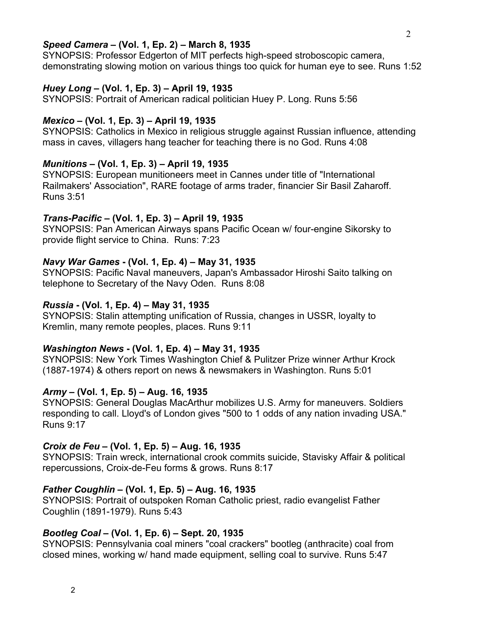### *Speed Camera* **– (Vol. 1, Ep. 2) – March 8, 1935**

SYNOPSIS: Professor Edgerton of MIT perfects high-speed stroboscopic camera, demonstrating slowing motion on various things too quick for human eye to see. Runs 1:52

#### *Huey Long* **– (Vol. 1, Ep. 3) – April 19, 1935**

SYNOPSIS: Portrait of American radical politician Huey P. Long. Runs 5:56

#### *Mexico* **– (Vol. 1, Ep. 3) – April 19, 1935**

SYNOPSIS: Catholics in Mexico in religious struggle against Russian influence, attending mass in caves, villagers hang teacher for teaching there is no God. Runs 4:08

#### *Munitions* **– (Vol. 1, Ep. 3) – April 19, 1935**

SYNOPSIS: European munitioneers meet in Cannes under title of "International Railmakers' Association", RARE footage of arms trader, financier Sir Basil Zaharoff. Runs 3:51

#### *Trans-Pacific* **– (Vol. 1, Ep. 3) – April 19, 1935**

SYNOPSIS: Pan American Airways spans Pacific Ocean w/ four-engine Sikorsky to provide flight service to China. Runs: 7:23

#### *Navy War Games* **- (Vol. 1, Ep. 4) – May 31, 1935**

SYNOPSIS: Pacific Naval maneuvers, Japan's Ambassador Hiroshi Saito talking on telephone to Secretary of the Navy Oden. Runs 8:08

#### *Russia* **- (Vol. 1, Ep. 4) – May 31, 1935**

SYNOPSIS: Stalin attempting unification of Russia, changes in USSR, loyalty to Kremlin, many remote peoples, places. Runs 9:11

#### *Washington News* **- (Vol. 1, Ep. 4) – May 31, 1935**

SYNOPSIS: New York Times Washington Chief & Pulitzer Prize winner Arthur Krock (1887-1974) & others report on news & newsmakers in Washington. Runs 5:01

#### *Army* **– (Vol. 1, Ep. 5) – Aug. 16, 1935**

SYNOPSIS: General Douglas MacArthur mobilizes U.S. Army for maneuvers. Soldiers responding to call. Lloyd's of London gives "500 to 1 odds of any nation invading USA." Runs 9:17

#### *Croix de Feu* **– (Vol. 1, Ep. 5) – Aug. 16, 1935**

SYNOPSIS: Train wreck, international crook commits suicide, Stavisky Affair & political repercussions, Croix-de-Feu forms & grows. Runs 8:17

#### *Father Coughlin* **– (Vol. 1, Ep. 5) – Aug. 16, 1935**

SYNOPSIS: Portrait of outspoken Roman Catholic priest, radio evangelist Father Coughlin (1891-1979). Runs 5:43

#### *Bootleg Coal* **– (Vol. 1, Ep. 6) – Sept. 20, 1935**

SYNOPSIS: Pennsylvania coal miners "coal crackers" bootleg (anthracite) coal from closed mines, working w/ hand made equipment, selling coal to survive. Runs 5:47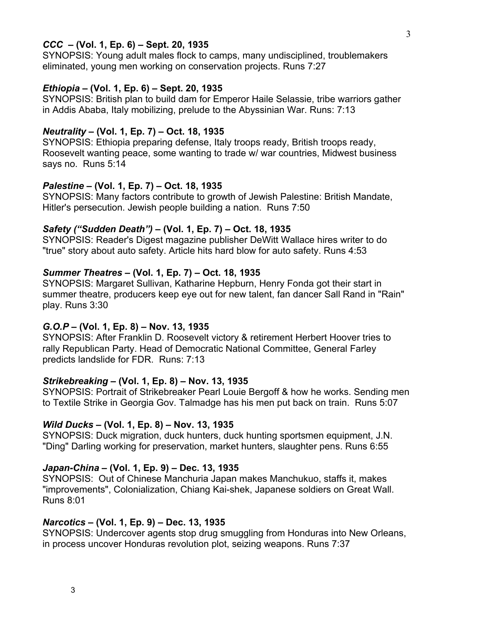## *CCC* **– (Vol. 1, Ep. 6) – Sept. 20, 1935**

SYNOPSIS: Young adult males flock to camps, many undisciplined, troublemakers eliminated, young men working on conservation projects. Runs 7:27

#### *Ethiopia* **– (Vol. 1, Ep. 6) – Sept. 20, 1935**

SYNOPSIS: British plan to build dam for Emperor Haile Selassie, tribe warriors gather in Addis Ababa, Italy mobilizing, prelude to the Abyssinian War. Runs: 7:13

#### *Neutrality* **– (Vol. 1, Ep. 7) – Oct. 18, 1935**

SYNOPSIS: Ethiopia preparing defense, Italy troops ready, British troops ready, Roosevelt wanting peace, some wanting to trade w/ war countries, Midwest business says no. Runs 5:14

### *Palestine* **– (Vol. 1, Ep. 7) – Oct. 18, 1935**

SYNOPSIS: Many factors contribute to growth of Jewish Palestine: British Mandate, Hitler's persecution. Jewish people building a nation. Runs 7:50

#### *Safety ("Sudden Death")* **– (Vol. 1, Ep. 7) – Oct. 18, 1935**

SYNOPSIS: Reader's Digest magazine publisher DeWitt Wallace hires writer to do "true" story about auto safety. Article hits hard blow for auto safety. Runs 4:53

### *Summer Theatres* **– (Vol. 1, Ep. 7) – Oct. 18, 1935**

SYNOPSIS: Margaret Sullivan, Katharine Hepburn, Henry Fonda got their start in summer theatre, producers keep eye out for new talent, fan dancer Sall Rand in "Rain" play. Runs 3:30

### *G.O.P* **– (Vol. 1, Ep. 8) – Nov. 13, 1935**

SYNOPSIS: After Franklin D. Roosevelt victory & retirement Herbert Hoover tries to rally Republican Party. Head of Democratic National Committee, General Farley predicts landslide for FDR. Runs: 7:13

### *Strikebreaking* **– (Vol. 1, Ep. 8) – Nov. 13, 1935**

SYNOPSIS: Portrait of Strikebreaker Pearl Louie Bergoff & how he works. Sending men to Textile Strike in Georgia Gov. Talmadge has his men put back on train. Runs 5:07

### *Wild Ducks* **– (Vol. 1, Ep. 8) – Nov. 13, 1935**

SYNOPSIS: Duck migration, duck hunters, duck hunting sportsmen equipment, J.N. "Ding" Darling working for preservation, market hunters, slaughter pens. Runs 6:55

#### *Japan-China* **– (Vol. 1, Ep. 9) – Dec. 13, 1935**

SYNOPSIS: Out of Chinese Manchuria Japan makes Manchukuo, staffs it, makes "improvements", Colonialization, Chiang Kai-shek, Japanese soldiers on Great Wall. Runs 8:01

#### *Narcotics* **– (Vol. 1, Ep. 9) – Dec. 13, 1935**

SYNOPSIS: Undercover agents stop drug smuggling from Honduras into New Orleans, in process uncover Honduras revolution plot, seizing weapons. Runs 7:37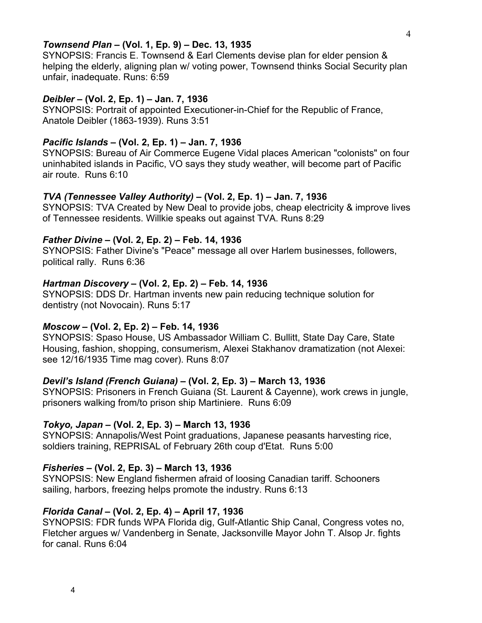### *Townsend Plan* **– (Vol. 1, Ep. 9) – Dec. 13, 1935**

SYNOPSIS: Francis E. Townsend & Earl Clements devise plan for elder pension & helping the elderly, aligning plan w/ voting power, Townsend thinks Social Security plan unfair, inadequate. Runs: 6:59

#### *Deibler* **– (Vol. 2, Ep. 1) – Jan. 7, 1936**

SYNOPSIS: Portrait of appointed Executioner-in-Chief for the Republic of France, Anatole Deibler (1863-1939). Runs 3:51

### *Pacific Islands* **– (Vol. 2, Ep. 1) – Jan. 7, 1936**

SYNOPSIS: Bureau of Air Commerce Eugene Vidal places American "colonists" on four uninhabited islands in Pacific, VO says they study weather, will become part of Pacific air route. Runs 6:10

### *TVA (Tennessee Valley Authority)* **– (Vol. 2, Ep. 1) – Jan. 7, 1936**

SYNOPSIS: TVA Created by New Deal to provide jobs, cheap electricity & improve lives of Tennessee residents. Willkie speaks out against TVA. Runs 8:29

#### *Father Divine* **– (Vol. 2, Ep. 2) – Feb. 14, 1936**

SYNOPSIS: Father Divine's "Peace" message all over Harlem businesses, followers, political rally. Runs 6:36

#### *Hartman Discovery* **– (Vol. 2, Ep. 2) – Feb. 14, 1936**

SYNOPSIS: DDS Dr. Hartman invents new pain reducing technique solution for dentistry (not Novocain). Runs 5:17

#### *Moscow* **– (Vol. 2, Ep. 2) – Feb. 14, 1936**

SYNOPSIS: Spaso House, US Ambassador William C. Bullitt, State Day Care, State Housing, fashion, shopping, consumerism, Alexei Stakhanov dramatization (not Alexei: see 12/16/1935 Time mag cover). Runs 8:07

### *Devil's Island (French Guiana)* **– (Vol. 2, Ep. 3) – March 13, 1936**

SYNOPSIS: Prisoners in French Guiana (St. Laurent & Cayenne), work crews in jungle, prisoners walking from/to prison ship Martiniere. Runs 6:09

#### *Tokyo, Japan* **– (Vol. 2, Ep. 3) – March 13, 1936**

SYNOPSIS: Annapolis/West Point graduations, Japanese peasants harvesting rice, soldiers training, REPRISAL of February 26th coup d'Etat. Runs 5:00

### *Fisheries* **– (Vol. 2, Ep. 3) – March 13, 1936**

SYNOPSIS: New England fishermen afraid of loosing Canadian tariff. Schooners sailing, harbors, freezing helps promote the industry. Runs 6:13

#### *Florida Canal* **– (Vol. 2, Ep. 4) – April 17, 1936**

SYNOPSIS: FDR funds WPA Florida dig, Gulf-Atlantic Ship Canal, Congress votes no, Fletcher argues w/ Vandenberg in Senate, Jacksonville Mayor John T. Alsop Jr. fights for canal. Runs 6:04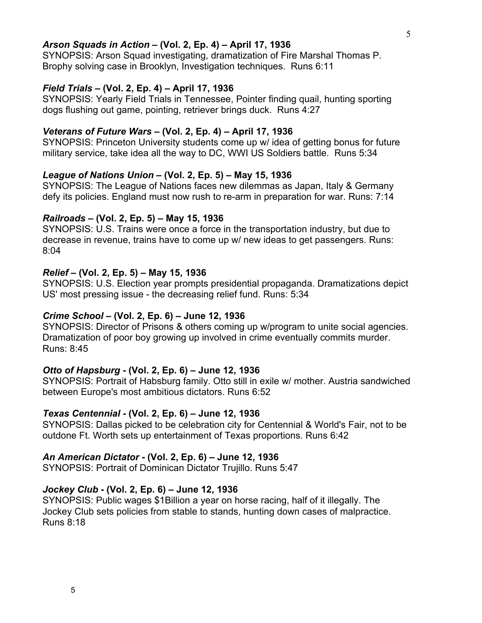## *Arson Squads in Action* **– (Vol. 2, Ep. 4) – April 17, 1936**

SYNOPSIS: Arson Squad investigating, dramatization of Fire Marshal Thomas P. Brophy solving case in Brooklyn, Investigation techniques. Runs 6:11

#### *Field Trials* **– (Vol. 2, Ep. 4) – April 17, 1936**

SYNOPSIS: Yearly Field Trials in Tennessee, Pointer finding quail, hunting sporting dogs flushing out game, pointing, retriever brings duck. Runs 4:27

### *Veterans of Future Wars* **– (Vol. 2, Ep. 4) – April 17, 1936**

SYNOPSIS: Princeton University students come up w/ idea of getting bonus for future military service, take idea all the way to DC, WWI US Soldiers battle. Runs 5:34

#### *League of Nations Union* **– (Vol. 2, Ep. 5) – May 15, 1936**

SYNOPSIS: The League of Nations faces new dilemmas as Japan, Italy & Germany defy its policies. England must now rush to re-arm in preparation for war. Runs: 7:14

#### *Railroads* **– (Vol. 2, Ep. 5) – May 15, 1936**

SYNOPSIS: U.S. Trains were once a force in the transportation industry, but due to decrease in revenue, trains have to come up w/ new ideas to get passengers. Runs: 8:04

### *Relief* **– (Vol. 2, Ep. 5) – May 15, 1936**

SYNOPSIS: U.S. Election year prompts presidential propaganda. Dramatizations depict US' most pressing issue - the decreasing relief fund. Runs: 5:34

#### *Crime School* **– (Vol. 2, Ep. 6) – June 12, 1936**

SYNOPSIS: Director of Prisons & others coming up w/program to unite social agencies. Dramatization of poor boy growing up involved in crime eventually commits murder. Runs: 8:45

#### *Otto of Hapsburg* **- (Vol. 2, Ep. 6) – June 12, 1936**

SYNOPSIS: Portrait of Habsburg family. Otto still in exile w/ mother. Austria sandwiched between Europe's most ambitious dictators. Runs 6:52

#### *Texas Centennial* **- (Vol. 2, Ep. 6) – June 12, 1936**

SYNOPSIS: Dallas picked to be celebration city for Centennial & World's Fair, not to be outdone Ft. Worth sets up entertainment of Texas proportions. Runs 6:42

#### *An American Dictator* **- (Vol. 2, Ep. 6) – June 12, 1936**

SYNOPSIS: Portrait of Dominican Dictator Trujillo. Runs 5:47

#### *Jockey Club* **- (Vol. 2, Ep. 6) – June 12, 1936**

SYNOPSIS: Public wages \$1Billion a year on horse racing, half of it illegally. The Jockey Club sets policies from stable to stands, hunting down cases of malpractice. Runs 8:18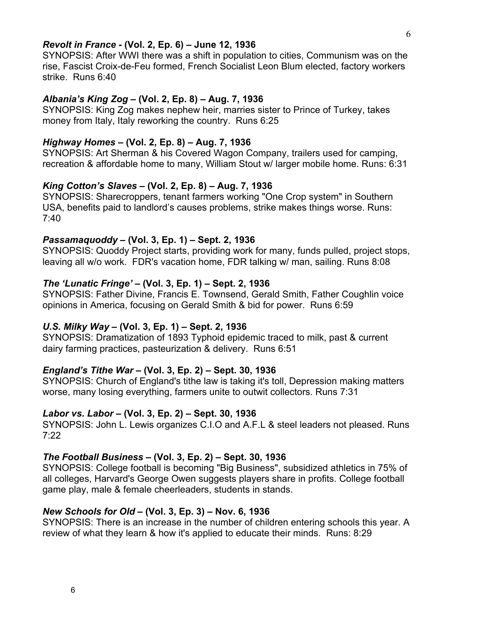### *Revolt in France* **- (Vol. 2, Ep. 6) – June 12, 1936**

SYNOPSIS: After WWI there was a shift in population to cities, Communism was on the rise, Fascist Croix-de-Feu formed, French Socialist Leon Blum elected, factory workers strike. Runs 6:40

### *Albania's King Zog* **– (Vol. 2, Ep. 8) – Aug. 7, 1936**

SYNOPSIS: King Zog makes nephew heir, marries sister to Prince of Turkey, takes money from Italy, Italy reworking the country. Runs 6:25

### *Highway Homes* **– (Vol. 2, Ep. 8) – Aug. 7, 1936**

SYNOPSIS: Art Sherman & his Covered Wagon Company, trailers used for camping, recreation & affordable home to many, William Stout w/ larger mobile home. Runs: 6:31

### *King Cotton's Slaves* **– (Vol. 2, Ep. 8) – Aug. 7, 1936**

SYNOPSIS: Sharecroppers, tenant farmers working "One Crop system" in Southern USA, benefits paid to landlord's causes problems, strike makes things worse. Runs: 7:40

### *Passamaquoddy* **– (Vol. 3, Ep. 1) – Sept. 2, 1936**

SYNOPSIS: Quoddy Project starts, providing work for many, funds pulled, project stops, leaving all w/o work. FDR's vacation home, FDR talking w/ man, sailing. Runs 8:08

### *The 'Lunatic Fringe'* **– (Vol. 3, Ep. 1) – Sept. 2, 1936**

SYNOPSIS: Father Divine, Francis E. Townsend, Gerald Smith, Father Coughlin voice opinions in America, focusing on Gerald Smith & bid for power. Runs 6:59

# *U.S. Milky Way* **– (Vol. 3, Ep. 1) – Sept. 2, 1936**

SYNOPSIS: Dramatization of 1893 Typhoid epidemic traced to milk, past & current dairy farming practices, pasteurization & delivery. Runs 6:51

# *England's Tithe War* **– (Vol. 3, Ep. 2) – Sept. 30, 1936**

SYNOPSIS: Church of England's tithe law is taking it's toll, Depression making matters worse, many losing everything, farmers unite to outwit collectors. Runs 7:31

### *Labor vs. Labor* **– (Vol. 3, Ep. 2) – Sept. 30, 1936**

SYNOPSIS: John L. Lewis organizes C.I.O and A.F.L & steel leaders not pleased. Runs 7:22

### *The Football Business* **– (Vol. 3, Ep. 2) – Sept. 30, 1936**

SYNOPSIS: College football is becoming "Big Business", subsidized athletics in 75% of all colleges, Harvard's George Owen suggests players share in profits. College football game play, male & female cheerleaders, students in stands.

# *New Schools for Old* **– (Vol. 3, Ep. 3) – Nov. 6, 1936**

SYNOPSIS: There is an increase in the number of children entering schools this year. A review of what they learn & how it's applied to educate their minds. Runs: 8:29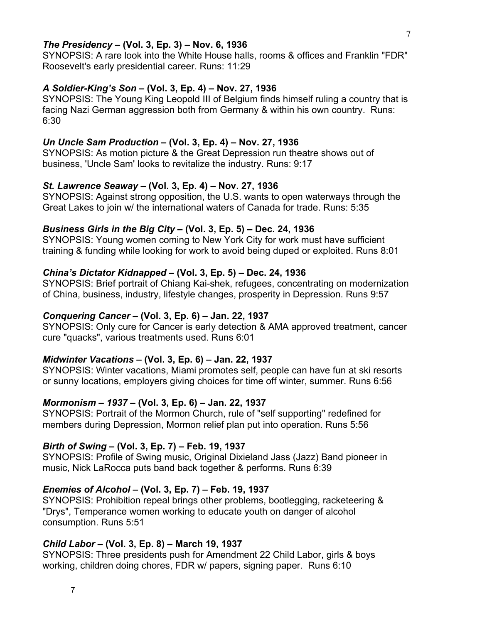### *The Presidency* **– (Vol. 3, Ep. 3) – Nov. 6, 1936**

SYNOPSIS: A rare look into the White House halls, rooms & offices and Franklin "FDR" Roosevelt's early presidential career. Runs: 11:29

### *A Soldier-King's Son* **– (Vol. 3, Ep. 4) – Nov. 27, 1936**

SYNOPSIS: The Young King Leopold III of Belgium finds himself ruling a country that is facing Nazi German aggression both from Germany & within his own country. Runs: 6:30

# *Un Uncle Sam Production* **– (Vol. 3, Ep. 4) – Nov. 27, 1936**

SYNOPSIS: As motion picture & the Great Depression run theatre shows out of business, 'Uncle Sam' looks to revitalize the industry. Runs: 9:17

#### *St. Lawrence Seaway* **– (Vol. 3, Ep. 4) – Nov. 27, 1936**

SYNOPSIS: Against strong opposition, the U.S. wants to open waterways through the Great Lakes to join w/ the international waters of Canada for trade. Runs: 5:35

#### *Business Girls in the Big City* **– (Vol. 3, Ep. 5) – Dec. 24, 1936**

SYNOPSIS: Young women coming to New York City for work must have sufficient training & funding while looking for work to avoid being duped or exploited. Runs 8:01

### *China's Dictator Kidnapped* **– (Vol. 3, Ep. 5) – Dec. 24, 1936**

SYNOPSIS: Brief portrait of Chiang Kai-shek, refugees, concentrating on modernization of China, business, industry, lifestyle changes, prosperity in Depression. Runs 9:57

#### *Conquering Cancer* **– (Vol. 3, Ep. 6) – Jan. 22, 1937**

SYNOPSIS: Only cure for Cancer is early detection & AMA approved treatment, cancer cure "quacks", various treatments used. Runs 6:01

#### *Midwinter Vacations* **– (Vol. 3, Ep. 6) – Jan. 22, 1937**

SYNOPSIS: Winter vacations, Miami promotes self, people can have fun at ski resorts or sunny locations, employers giving choices for time off winter, summer. Runs 6:56

### *Mormonism – 1937* **– (Vol. 3, Ep. 6) – Jan. 22, 1937**

SYNOPSIS: Portrait of the Mormon Church, rule of "self supporting" redefined for members during Depression, Mormon relief plan put into operation. Runs 5:56

### *Birth of Swing* **– (Vol. 3, Ep. 7) – Feb. 19, 1937**

SYNOPSIS: Profile of Swing music, Original Dixieland Jass (Jazz) Band pioneer in music, Nick LaRocca puts band back together & performs. Runs 6:39

#### *Enemies of Alcohol* **– (Vol. 3, Ep. 7) – Feb. 19, 1937**

SYNOPSIS: Prohibition repeal brings other problems, bootlegging, racketeering & "Drys", Temperance women working to educate youth on danger of alcohol consumption. Runs 5:51

### *Child Labor* **– (Vol. 3, Ep. 8) – March 19, 1937**

SYNOPSIS: Three presidents push for Amendment 22 Child Labor, girls & boys working, children doing chores, FDR w/ papers, signing paper. Runs 6:10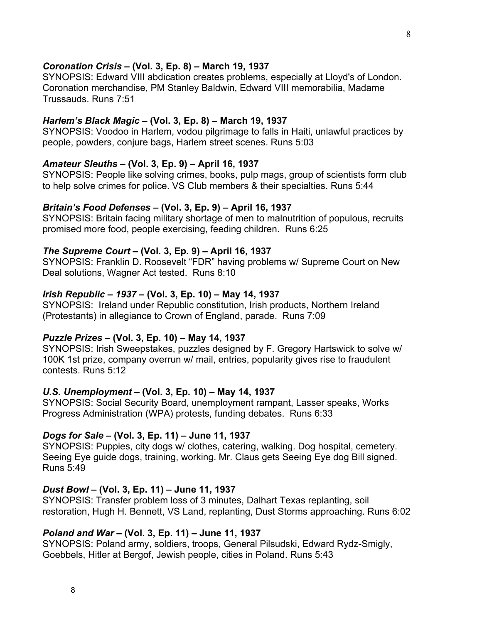### *Coronation Crisis* **– (Vol. 3, Ep. 8) – March 19, 1937**

SYNOPSIS: Edward VIII abdication creates problems, especially at Lloyd's of London. Coronation merchandise, PM Stanley Baldwin, Edward VIII memorabilia, Madame Trussauds. Runs 7:51

### *Harlem's Black Magic* **– (Vol. 3, Ep. 8) – March 19, 1937**

SYNOPSIS: Voodoo in Harlem, vodou pilgrimage to falls in Haiti, unlawful practices by people, powders, conjure bags, Harlem street scenes. Runs 5:03

#### *Amateur Sleuths* **– (Vol. 3, Ep. 9) – April 16, 1937**

SYNOPSIS: People like solving crimes, books, pulp mags, group of scientists form club to help solve crimes for police. VS Club members & their specialties. Runs 5:44

#### *Britain's Food Defenses* **– (Vol. 3, Ep. 9) – April 16, 1937**

SYNOPSIS: Britain facing military shortage of men to malnutrition of populous, recruits promised more food, people exercising, feeding children. Runs 6:25

#### *The Supreme Court* **– (Vol. 3, Ep. 9) – April 16, 1937**

SYNOPSIS: Franklin D. Roosevelt "FDR" having problems w/ Supreme Court on New Deal solutions, Wagner Act tested. Runs 8:10

#### *Irish Republic – 1937* **– (Vol. 3, Ep. 10) – May 14, 1937**

SYNOPSIS: Ireland under Republic constitution, Irish products, Northern Ireland (Protestants) in allegiance to Crown of England, parade. Runs 7:09

### *Puzzle Prizes* **– (Vol. 3, Ep. 10) – May 14, 1937**

SYNOPSIS: Irish Sweepstakes, puzzles designed by F. Gregory Hartswick to solve w/ 100K 1st prize, company overrun w/ mail, entries, popularity gives rise to fraudulent contests. Runs 5:12

#### *U.S. Unemployment* **– (Vol. 3, Ep. 10) – May 14, 1937**

SYNOPSIS: Social Security Board, unemployment rampant, Lasser speaks, Works Progress Administration (WPA) protests, funding debates. Runs 6:33

#### *Dogs for Sale* **– (Vol. 3, Ep. 11) – June 11, 1937**

SYNOPSIS: Puppies, city dogs w/ clothes, catering, walking. Dog hospital, cemetery. Seeing Eye guide dogs, training, working. Mr. Claus gets Seeing Eye dog Bill signed. Runs 5:49

#### *Dust Bowl* **– (Vol. 3, Ep. 11) – June 11, 1937**

SYNOPSIS: Transfer problem loss of 3 minutes, Dalhart Texas replanting, soil restoration, Hugh H. Bennett, VS Land, replanting, Dust Storms approaching. Runs 6:02

### *Poland and War* **– (Vol. 3, Ep. 11) – June 11, 1937**

SYNOPSIS: Poland army, soldiers, troops, General Pilsudski, Edward Rydz-Smigly, Goebbels, Hitler at Bergof, Jewish people, cities in Poland. Runs 5:43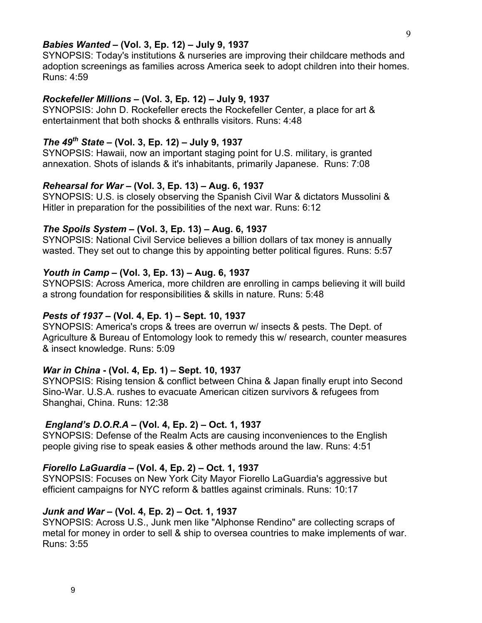### *Babies Wanted* **– (Vol. 3, Ep. 12) – July 9, 1937**

SYNOPSIS: Today's institutions & nurseries are improving their childcare methods and adoption screenings as families across America seek to adopt children into their homes. Runs: 4:59

#### *Rockefeller Millions* **– (Vol. 3, Ep. 12) – July 9, 1937**

SYNOPSIS: John D. Rockefeller erects the Rockefeller Center, a place for art & entertainment that both shocks & enthralls visitors. Runs: 4:48

# *The 49th State* **– (Vol. 3, Ep. 12) – July 9, 1937**

SYNOPSIS: Hawaii, now an important staging point for U.S. military, is granted annexation. Shots of islands & it's inhabitants, primarily Japanese. Runs: 7:08

### *Rehearsal for War* **– (Vol. 3, Ep. 13) – Aug. 6, 1937**

SYNOPSIS: U.S. is closely observing the Spanish Civil War & dictators Mussolini & Hitler in preparation for the possibilities of the next war. Runs: 6:12

#### *The Spoils System* **– (Vol. 3, Ep. 13) – Aug. 6, 1937**

SYNOPSIS: National Civil Service believes a billion dollars of tax money is annually wasted. They set out to change this by appointing better political figures. Runs: 5:57

### *Youth in Camp* **– (Vol. 3, Ep. 13) – Aug. 6, 1937**

SYNOPSIS: Across America, more children are enrolling in camps believing it will build a strong foundation for responsibilities & skills in nature. Runs: 5:48

#### *Pests of 1937* **– (Vol. 4, Ep. 1) – Sept. 10, 1937**

SYNOPSIS: America's crops & trees are overrun w/ insects & pests. The Dept. of Agriculture & Bureau of Entomology look to remedy this w/ research, counter measures & insect knowledge. Runs: 5:09

#### *War in China* **- (Vol. 4, Ep. 1) – Sept. 10, 1937**

SYNOPSIS: Rising tension & conflict between China & Japan finally erupt into Second Sino-War. U.S.A. rushes to evacuate American citizen survivors & refugees from Shanghai, China. Runs: 12:38

### *England's D.O.R.A* **– (Vol. 4, Ep. 2) – Oct. 1, 1937**

SYNOPSIS: Defense of the Realm Acts are causing inconveniences to the English people giving rise to speak easies & other methods around the law. Runs: 4:51

## *Fiorello LaGuardia* **– (Vol. 4, Ep. 2) – Oct. 1, 1937**

SYNOPSIS: Focuses on New York City Mayor Fiorello LaGuardia's aggressive but efficient campaigns for NYC reform & battles against criminals. Runs: 10:17

#### *Junk and War* **– (Vol. 4, Ep. 2) – Oct. 1, 1937**

SYNOPSIS: Across U.S., Junk men like "Alphonse Rendino" are collecting scraps of metal for money in order to sell & ship to oversea countries to make implements of war. Runs: 3:55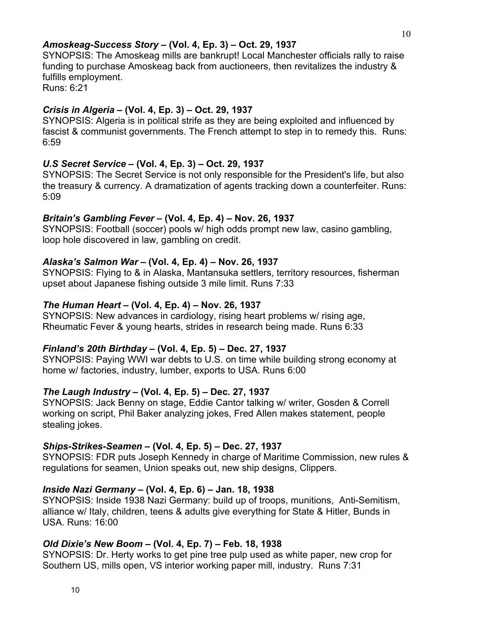### *Amoskeag-Success Story* **– (Vol. 4, Ep. 3) – Oct. 29, 1937**

SYNOPSIS: The Amoskeag mills are bankrupt! Local Manchester officials rally to raise funding to purchase Amoskeag back from auctioneers, then revitalizes the industry & fulfills employment.

Runs: 6:21

# *Crisis in Algeria* **– (Vol. 4, Ep. 3) – Oct. 29, 1937**

SYNOPSIS: Algeria is in political strife as they are being exploited and influenced by fascist & communist governments. The French attempt to step in to remedy this. Runs: 6:59

# *U.S Secret Service* **– (Vol. 4, Ep. 3) – Oct. 29, 1937**

SYNOPSIS: The Secret Service is not only responsible for the President's life, but also the treasury & currency. A dramatization of agents tracking down a counterfeiter. Runs: 5:09

# *Britain's Gambling Fever* **– (Vol. 4, Ep. 4) – Nov. 26, 1937**

SYNOPSIS: Football (soccer) pools w/ high odds prompt new law, casino gambling, loop hole discovered in law, gambling on credit.

# *Alaska's Salmon War* **– (Vol. 4, Ep. 4) – Nov. 26, 1937**

SYNOPSIS: Flying to & in Alaska, Mantansuka settlers, territory resources, fisherman upset about Japanese fishing outside 3 mile limit. Runs 7:33

# *The Human Heart* **– (Vol. 4, Ep. 4) – Nov. 26, 1937**

SYNOPSIS: New advances in cardiology, rising heart problems w/ rising age, Rheumatic Fever & young hearts, strides in research being made. Runs 6:33

# *Finland's 20th Birthday* **– (Vol. 4, Ep. 5) – Dec. 27, 1937**

SYNOPSIS: Paying WWI war debts to U.S. on time while building strong economy at home w/ factories, industry, lumber, exports to USA. Runs 6:00

# *The Laugh Industry* **– (Vol. 4, Ep. 5) – Dec. 27, 1937**

SYNOPSIS: Jack Benny on stage, Eddie Cantor talking w/ writer, Gosden & Correll working on script, Phil Baker analyzing jokes, Fred Allen makes statement, people stealing jokes.

# *Ships-Strikes-Seamen* **– (Vol. 4, Ep. 5) – Dec. 27, 1937**

SYNOPSIS: FDR puts Joseph Kennedy in charge of Maritime Commission, new rules & regulations for seamen, Union speaks out, new ship designs, Clippers.

# *Inside Nazi Germany* **– (Vol. 4, Ep. 6) – Jan. 18, 1938**

SYNOPSIS: Inside 1938 Nazi Germany: build up of troops, munitions, Anti-Semitism, alliance w/ Italy, children, teens & adults give everything for State & Hitler, Bunds in USA. Runs: 16:00

# *Old Dixie's New Boom* **– (Vol. 4, Ep. 7) – Feb. 18, 1938**

SYNOPSIS: Dr. Herty works to get pine tree pulp used as white paper, new crop for Southern US, mills open, VS interior working paper mill, industry. Runs 7:31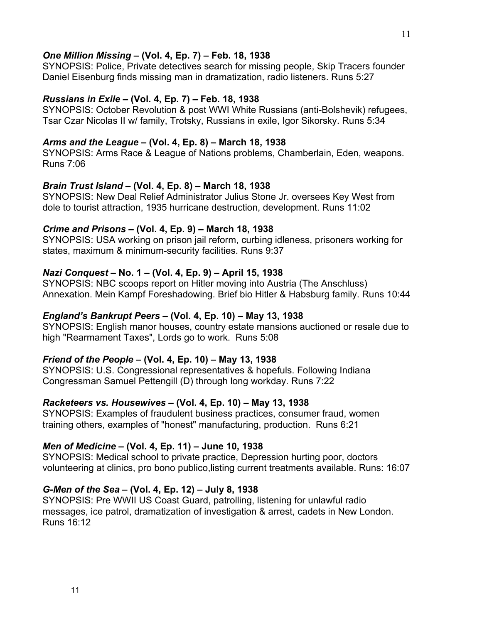## *One Million Missing* **– (Vol. 4, Ep. 7) – Feb. 18, 1938**

SYNOPSIS: Police, Private detectives search for missing people, Skip Tracers founder Daniel Eisenburg finds missing man in dramatization, radio listeners. Runs 5:27

### *Russians in Exile* **– (Vol. 4, Ep. 7) – Feb. 18, 1938**

SYNOPSIS: October Revolution & post WWI White Russians (anti-Bolshevik) refugees, Tsar Czar Nicolas II w/ family, Trotsky, Russians in exile, Igor Sikorsky. Runs 5:34

# *Arms and the League* **– (Vol. 4, Ep. 8) – March 18, 1938**

SYNOPSIS: Arms Race & League of Nations problems, Chamberlain, Eden, weapons. Runs 7:06

### *Brain Trust Island* **– (Vol. 4, Ep. 8) – March 18, 1938**

SYNOPSIS: New Deal Relief Administrator Julius Stone Jr. oversees Key West from dole to tourist attraction, 1935 hurricane destruction, development. Runs 11:02

### *Crime and Prisons* **– (Vol. 4, Ep. 9) – March 18, 1938**

SYNOPSIS: USA working on prison jail reform, curbing idleness, prisoners working for states, maximum & minimum-security facilities. Runs 9:37

# *Nazi Conquest* **– No. 1 – (Vol. 4, Ep. 9) – April 15, 1938**

SYNOPSIS: NBC scoops report on Hitler moving into Austria (The Anschluss) Annexation. Mein Kampf Foreshadowing. Brief bio Hitler & Habsburg family. Runs 10:44

## *England's Bankrupt Peers* **– (Vol. 4, Ep. 10) – May 13, 1938**

SYNOPSIS: English manor houses, country estate mansions auctioned or resale due to high "Rearmament Taxes", Lords go to work. Runs 5:08

### *Friend of the People* **– (Vol. 4, Ep. 10) – May 13, 1938**

SYNOPSIS: U.S. Congressional representatives & hopefuls. Following Indiana Congressman Samuel Pettengill (D) through long workday. Runs 7:22

# *Racketeers vs. Housewives* **– (Vol. 4, Ep. 10) – May 13, 1938**

SYNOPSIS: Examples of fraudulent business practices, consumer fraud, women training others, examples of "honest" manufacturing, production. Runs 6:21

# *Men of Medicine* **– (Vol. 4, Ep. 11) – June 10, 1938**

SYNOPSIS: Medical school to private practice, Depression hurting poor, doctors volunteering at clinics, pro bono publico,listing current treatments available. Runs: 16:07

### *G-Men of the Sea* **– (Vol. 4, Ep. 12) – July 8, 1938**

SYNOPSIS: Pre WWII US Coast Guard, patrolling, listening for unlawful radio messages, ice patrol, dramatization of investigation & arrest, cadets in New London. Runs 16:12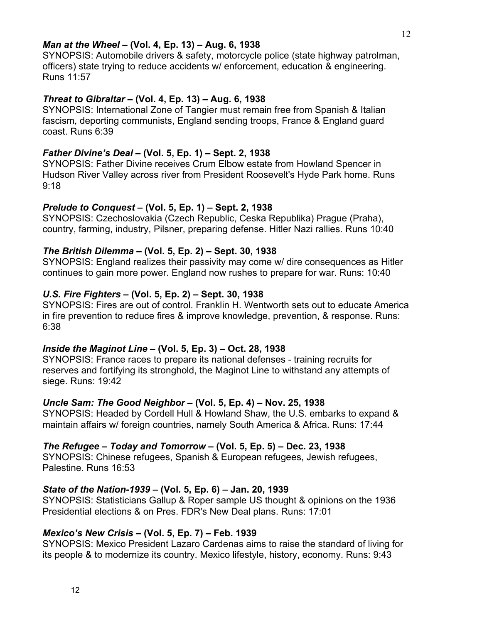### *Man at the Wheel* **– (Vol. 4, Ep. 13) – Aug. 6, 1938**

SYNOPSIS: Automobile drivers & safety, motorcycle police (state highway patrolman, officers) state trying to reduce accidents w/ enforcement, education & engineering. Runs 11:57

## *Threat to Gibraltar* **– (Vol. 4, Ep. 13) – Aug. 6, 1938**

SYNOPSIS: International Zone of Tangier must remain free from Spanish & Italian fascism, deporting communists, England sending troops, France & England guard coast. Runs 6:39

### *Father Divine's Deal* **– (Vol. 5, Ep. 1) – Sept. 2, 1938**

SYNOPSIS: Father Divine receives Crum Elbow estate from Howland Spencer in Hudson River Valley across river from President Roosevelt's Hyde Park home. Runs 9:18

### *Prelude to Conquest* **– (Vol. 5, Ep. 1) – Sept. 2, 1938**

SYNOPSIS: Czechoslovakia (Czech Republic, Ceska Republika) Prague (Praha), country, farming, industry, Pilsner, preparing defense. Hitler Nazi rallies. Runs 10:40

### *The British Dilemma* **– (Vol. 5, Ep. 2) – Sept. 30, 1938**

SYNOPSIS: England realizes their passivity may come w/ dire consequences as Hitler continues to gain more power. England now rushes to prepare for war. Runs: 10:40

### *U.S. Fire Fighters* **– (Vol. 5, Ep. 2) – Sept. 30, 1938**

SYNOPSIS: Fires are out of control. Franklin H. Wentworth sets out to educate America in fire prevention to reduce fires & improve knowledge, prevention, & response. Runs: 6:38

### *Inside the Maginot Line* **– (Vol. 5, Ep. 3) – Oct. 28, 1938**

SYNOPSIS: France races to prepare its national defenses - training recruits for reserves and fortifying its stronghold, the Maginot Line to withstand any attempts of siege. Runs: 19:42

### *Uncle Sam: The Good Neighbor* **– (Vol. 5, Ep. 4) – Nov. 25, 1938**

SYNOPSIS: Headed by Cordell Hull & Howland Shaw, the U.S. embarks to expand & maintain affairs w/ foreign countries, namely South America & Africa. Runs: 17:44

## *The Refugee – Today and Tomorrow* **– (Vol. 5, Ep. 5) – Dec. 23, 1938**

SYNOPSIS: Chinese refugees, Spanish & European refugees, Jewish refugees, Palestine. Runs 16:53

### *State of the Nation-1939* **– (Vol. 5, Ep. 6) – Jan. 20, 1939**

SYNOPSIS: Statisticians Gallup & Roper sample US thought & opinions on the 1936 Presidential elections & on Pres. FDR's New Deal plans. Runs: 17:01

# *Mexico's New Crisis* **– (Vol. 5, Ep. 7) – Feb. 1939**

SYNOPSIS: Mexico President Lazaro Cardenas aims to raise the standard of living for its people & to modernize its country. Mexico lifestyle, history, economy. Runs: 9:43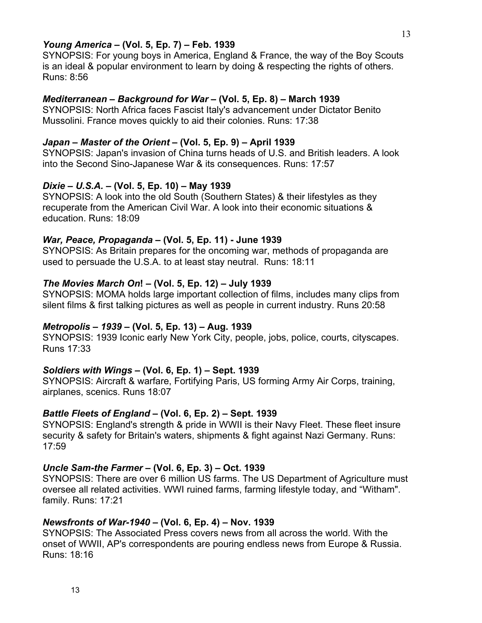## *Young America* **– (Vol. 5, Ep. 7) – Feb. 1939**

SYNOPSIS: For young boys in America, England & France, the way of the Boy Scouts is an ideal & popular environment to learn by doing & respecting the rights of others. Runs: 8:56

## *Mediterranean – Background for War* **– (Vol. 5, Ep. 8) – March 1939**

SYNOPSIS: North Africa faces Fascist Italy's advancement under Dictator Benito Mussolini. France moves quickly to aid their colonies. Runs: 17:38

### *Japan – Master of the Orient* **– (Vol. 5, Ep. 9) – April 1939**

SYNOPSIS: Japan's invasion of China turns heads of U.S. and British leaders. A look into the Second Sino-Japanese War & its consequences. Runs: 17:57

# *Dixie – U.S.A.* **– (Vol. 5, Ep. 10) – May 1939**

SYNOPSIS: A look into the old South (Southern States) & their lifestyles as they recuperate from the American Civil War. A look into their economic situations & education. Runs: 18:09

### *War, Peace, Propaganda* **– (Vol. 5, Ep. 11) - June 1939**

SYNOPSIS: As Britain prepares for the oncoming war, methods of propaganda are used to persuade the U.S.A. to at least stay neutral. Runs: 18:11

### *The Movies March On***! – (Vol. 5, Ep. 12) – July 1939**

SYNOPSIS: MOMA holds large important collection of films, includes many clips from silent films & first talking pictures as well as people in current industry. Runs 20:58

# *Metropolis – 1939* **– (Vol. 5, Ep. 13) – Aug. 1939**

SYNOPSIS: 1939 Iconic early New York City, people, jobs, police, courts, cityscapes. Runs 17:33

# *Soldiers with Wings* **– (Vol. 6, Ep. 1) – Sept. 1939**

SYNOPSIS: Aircraft & warfare, Fortifying Paris, US forming Army Air Corps, training, airplanes, scenics. Runs 18:07

# *Battle Fleets of England* **– (Vol. 6, Ep. 2) – Sept. 1939**

SYNOPSIS: England's strength & pride in WWII is their Navy Fleet. These fleet insure security & safety for Britain's waters, shipments & fight against Nazi Germany. Runs: 17:59

# *Uncle Sam-the Farmer* **– (Vol. 6, Ep. 3) – Oct. 1939**

SYNOPSIS: There are over 6 million US farms. The US Department of Agriculture must oversee all related activities. WWI ruined farms, farming lifestyle today, and "Witham". family. Runs: 17:21

# *Newsfronts of War-1940* **– (Vol. 6, Ep. 4) – Nov. 1939**

SYNOPSIS: The Associated Press covers news from all across the world. With the onset of WWII, AP's correspondents are pouring endless news from Europe & Russia. Runs: 18:16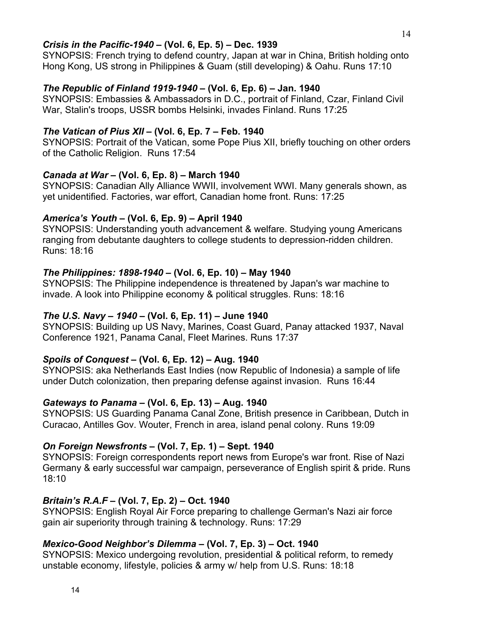### *Crisis in the Pacific-1940* **– (Vol. 6, Ep. 5) – Dec. 1939**

SYNOPSIS: French trying to defend country, Japan at war in China, British holding onto Hong Kong, US strong in Philippines & Guam (still developing) & Oahu. Runs 17:10

# *The Republic of Finland 1919-1940* **– (Vol. 6, Ep. 6) – Jan. 1940**

SYNOPSIS: Embassies & Ambassadors in D.C., portrait of Finland, Czar, Finland Civil War, Stalin's troops, USSR bombs Helsinki, invades Finland. Runs 17:25

# *The Vatican of Pius XII* **– (Vol. 6, Ep. 7 – Feb. 1940**

SYNOPSIS: Portrait of the Vatican, some Pope Pius XII, briefly touching on other orders of the Catholic Religion. Runs 17:54

# *Canada at War* **– (Vol. 6, Ep. 8) – March 1940**

SYNOPSIS: Canadian Ally Alliance WWII, involvement WWI. Many generals shown, as yet unidentified. Factories, war effort, Canadian home front. Runs: 17:25

# *America's Youth* **– (Vol. 6, Ep. 9) – April 1940**

SYNOPSIS: Understanding youth advancement & welfare. Studying young Americans ranging from debutante daughters to college students to depression-ridden children. Runs: 18:16

# *The Philippines: 1898-1940* **– (Vol. 6, Ep. 10) – May 1940**

SYNOPSIS: The Philippine independence is threatened by Japan's war machine to invade. A look into Philippine economy & political struggles. Runs: 18:16

# *The U.S. Navy – 1940* **– (Vol. 6, Ep. 11) – June 1940**

SYNOPSIS: Building up US Navy, Marines, Coast Guard, Panay attacked 1937, Naval Conference 1921, Panama Canal, Fleet Marines. Runs 17:37

# *Spoils of Conquest* **– (Vol. 6, Ep. 12) – Aug. 1940**

SYNOPSIS: aka Netherlands East Indies (now Republic of Indonesia) a sample of life under Dutch colonization, then preparing defense against invasion. Runs 16:44

# *Gateways to Panama* **– (Vol. 6, Ep. 13) – Aug. 1940**

SYNOPSIS: US Guarding Panama Canal Zone, British presence in Caribbean, Dutch in Curacao, Antilles Gov. Wouter, French in area, island penal colony. Runs 19:09

# *On Foreign Newsfronts* **– (Vol. 7, Ep. 1) – Sept. 1940**

SYNOPSIS: Foreign correspondents report news from Europe's war front. Rise of Nazi Germany & early successful war campaign, perseverance of English spirit & pride. Runs 18:10

# *Britain's R.A.F* **– (Vol. 7, Ep. 2) – Oct. 1940**

SYNOPSIS: English Royal Air Force preparing to challenge German's Nazi air force gain air superiority through training & technology. Runs: 17:29

# *Mexico-Good Neighbor's Dilemma* **– (Vol. 7, Ep. 3) – Oct. 1940**

SYNOPSIS: Mexico undergoing revolution, presidential & political reform, to remedy unstable economy, lifestyle, policies & army w/ help from U.S. Runs: 18:18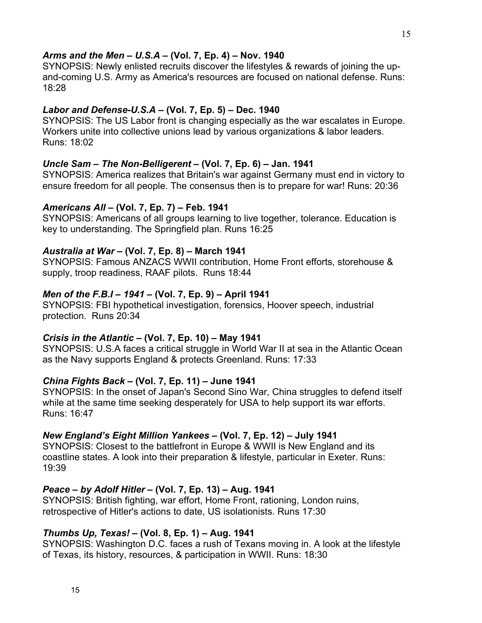## *Arms and the Men* **–** *U.S.A* **– (Vol. 7, Ep. 4) – Nov. 1940**

SYNOPSIS: Newly enlisted recruits discover the lifestyles & rewards of joining the upand-coming U.S. Army as America's resources are focused on national defense. Runs: 18:28

### *Labor and Defense-U.S.A* **– (Vol. 7, Ep. 5) – Dec. 1940**

SYNOPSIS: The US Labor front is changing especially as the war escalates in Europe. Workers unite into collective unions lead by various organizations & labor leaders. Runs: 18:02

### *Uncle Sam – The Non-Belligerent* **– (Vol. 7, Ep. 6) – Jan. 1941**

SYNOPSIS: America realizes that Britain's war against Germany must end in victory to ensure freedom for all people. The consensus then is to prepare for war! Runs: 20:36

### *Americans All* **– (Vol. 7, Ep. 7) – Feb. 1941**

SYNOPSIS: Americans of all groups learning to live together, tolerance. Education is key to understanding. The Springfield plan. Runs 16:25

### *Australia at War* **– (Vol. 7, Ep. 8) – March 1941**

SYNOPSIS: Famous ANZACS WWII contribution, Home Front efforts, storehouse & supply, troop readiness, RAAF pilots. Runs 18:44

### *Men of the F.B.I – 1941* **– (Vol. 7, Ep. 9) – April 1941**

SYNOPSIS: FBI hypothetical investigation, forensics, Hoover speech, industrial protection. Runs 20:34

# *Crisis in the Atlantic* **– (Vol. 7, Ep. 10) – May 1941**

SYNOPSIS: U.S.A faces a critical struggle in World War II at sea in the Atlantic Ocean as the Navy supports England & protects Greenland. Runs: 17:33

# *China Fights Back* **– (Vol. 7, Ep. 11) – June 1941**

SYNOPSIS: In the onset of Japan's Second Sino War, China struggles to defend itself while at the same time seeking desperately for USA to help support its war efforts. Runs: 16:47

## *New England's Eight Million Yankees* **– (Vol. 7, Ep. 12) – July 1941**

SYNOPSIS: Closest to the battlefront in Europe & WWII is New England and its coastline states. A look into their preparation & lifestyle, particular in Exeter. Runs: 19:39

# *Peace – by Adolf Hitler* **– (Vol. 7, Ep. 13) – Aug. 1941**

SYNOPSIS: British fighting, war effort, Home Front, rationing, London ruins, retrospective of Hitler's actions to date, US isolationists. Runs 17:30

# *Thumbs Up, Texas!* **– (Vol. 8, Ep. 1) – Aug. 1941**

SYNOPSIS: Washington D.C. faces a rush of Texans moving in. A look at the lifestyle of Texas, its history, resources, & participation in WWII. Runs: 18:30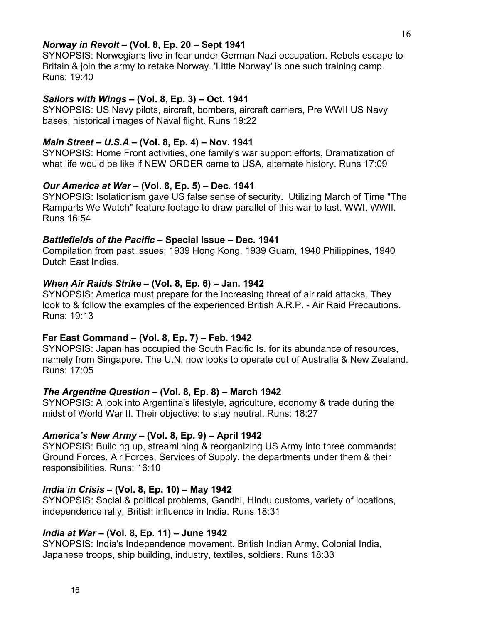## *Norway in Revolt* **– (Vol. 8, Ep. 20 – Sept 1941**

SYNOPSIS: Norwegians live in fear under German Nazi occupation. Rebels escape to Britain & join the army to retake Norway. 'Little Norway' is one such training camp. Runs: 19:40

## *Sailors with Wings* **– (Vol. 8, Ep. 3) – Oct. 1941**

SYNOPSIS: US Navy pilots, aircraft, bombers, aircraft carriers, Pre WWII US Navy bases, historical images of Naval flight. Runs 19:22

### *Main Street – U.S.A* **– (Vol. 8, Ep. 4) – Nov. 1941**

SYNOPSIS: Home Front activities, one family's war support efforts, Dramatization of what life would be like if NEW ORDER came to USA, alternate history. Runs 17:09

### *Our America at War* **– (Vol. 8, Ep. 5) – Dec. 1941**

SYNOPSIS: Isolationism gave US false sense of security. Utilizing March of Time "The Ramparts We Watch" feature footage to draw parallel of this war to last. WWI, WWII. Runs 16:54

### *Battlefields of the Pacific* **– Special Issue – Dec. 1941**

Compilation from past issues: 1939 Hong Kong, 1939 Guam, 1940 Philippines, 1940 Dutch East Indies.

### *When Air Raids Strike* **– (Vol. 8, Ep. 6) – Jan. 1942**

SYNOPSIS: America must prepare for the increasing threat of air raid attacks. They look to & follow the examples of the experienced British A.R.P. - Air Raid Precautions. Runs: 19:13

### **Far East Command – (Vol. 8, Ep. 7) – Feb. 1942**

SYNOPSIS: Japan has occupied the South Pacific Is. for its abundance of resources, namely from Singapore. The U.N. now looks to operate out of Australia & New Zealand. Runs: 17:05

### *The Argentine Question* **– (Vol. 8, Ep. 8) – March 1942**

SYNOPSIS: A look into Argentina's lifestyle, agriculture, economy & trade during the midst of World War II. Their objective: to stay neutral. Runs: 18:27

### *America's New Army* **– (Vol. 8, Ep. 9) – April 1942**

SYNOPSIS: Building up, streamlining & reorganizing US Army into three commands: Ground Forces, Air Forces, Services of Supply, the departments under them & their responsibilities. Runs: 16:10

# *India in Crisis* **– (Vol. 8, Ep. 10) – May 1942**

SYNOPSIS: Social & political problems, Gandhi, Hindu customs, variety of locations, independence rally, British influence in India. Runs 18:31

# *India at War* **– (Vol. 8, Ep. 11) – June 1942**

SYNOPSIS: India's Independence movement, British Indian Army, Colonial India, Japanese troops, ship building, industry, textiles, soldiers. Runs 18:33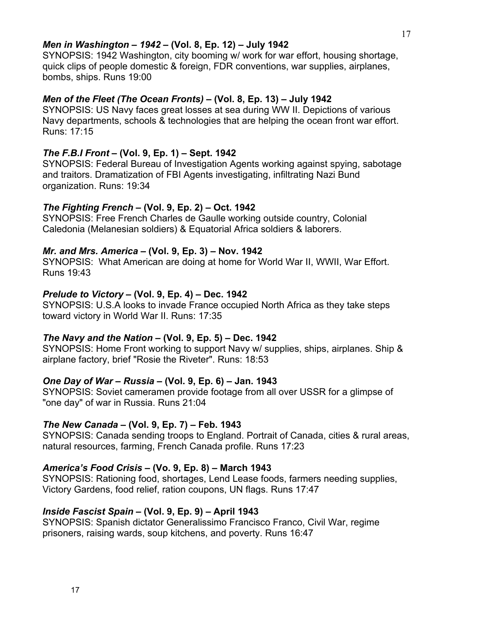## *Men in Washington – 1942* **– (Vol. 8, Ep. 12) – July 1942**

SYNOPSIS: 1942 Washington, city booming w/ work for war effort, housing shortage, quick clips of people domestic & foreign, FDR conventions, war supplies, airplanes, bombs, ships. Runs 19:00

# *Men of the Fleet (The Ocean Fronts)* **– (Vol. 8, Ep. 13) – July 1942**

SYNOPSIS: US Navy faces great losses at sea during WW II. Depictions of various Navy departments, schools & technologies that are helping the ocean front war effort. Runs: 17:15

# *The F.B.I Front* **– (Vol. 9, Ep. 1) – Sept. 1942**

SYNOPSIS: Federal Bureau of Investigation Agents working against spying, sabotage and traitors. Dramatization of FBI Agents investigating, infiltrating Nazi Bund organization. Runs: 19:34

# *The Fighting French* **– (Vol. 9, Ep. 2) – Oct. 1942**

SYNOPSIS: Free French Charles de Gaulle working outside country, Colonial Caledonia (Melanesian soldiers) & Equatorial Africa soldiers & laborers.

# *Mr. and Mrs. America* **– (Vol. 9, Ep. 3) – Nov. 1942**

SYNOPSIS: What American are doing at home for World War II, WWII, War Effort. Runs 19:43

# *Prelude to Victory* **– (Vol. 9, Ep. 4) – Dec. 1942**

SYNOPSIS: U.S.A looks to invade France occupied North Africa as they take steps toward victory in World War II. Runs: 17:35

# *The Navy and the Nation* **– (Vol. 9, Ep. 5) – Dec. 1942**

SYNOPSIS: Home Front working to support Navy w/ supplies, ships, airplanes. Ship & airplane factory, brief "Rosie the Riveter". Runs: 18:53

# *One Day of War – Russia* **– (Vol. 9, Ep. 6) – Jan. 1943**

SYNOPSIS: Soviet cameramen provide footage from all over USSR for a glimpse of "one day" of war in Russia. Runs 21:04

# *The New Canada* **– (Vol. 9, Ep. 7) – Feb. 1943**

SYNOPSIS: Canada sending troops to England. Portrait of Canada, cities & rural areas, natural resources, farming, French Canada profile. Runs 17:23

# *America's Food Crisis* **– (Vo. 9, Ep. 8) – March 1943**

SYNOPSIS: Rationing food, shortages, Lend Lease foods, farmers needing supplies, Victory Gardens, food relief, ration coupons, UN flags. Runs 17:47

# *Inside Fascist Spain* **– (Vol. 9, Ep. 9) – April 1943**

SYNOPSIS: Spanish dictator Generalissimo Francisco Franco, Civil War, regime prisoners, raising wards, soup kitchens, and poverty. Runs 16:47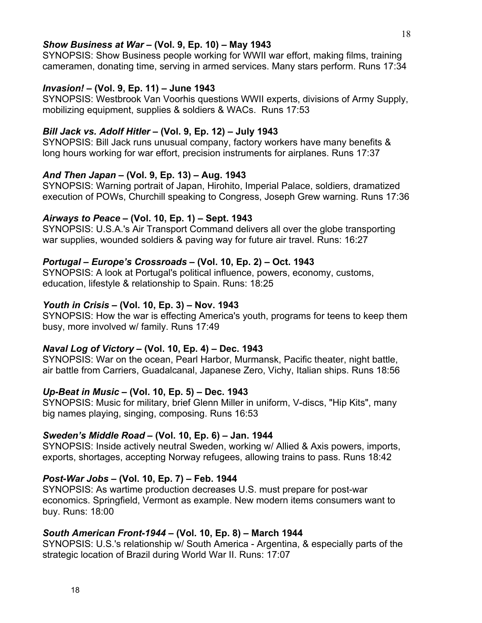## *Show Business at War* **– (Vol. 9, Ep. 10) – May 1943**

SYNOPSIS: Show Business people working for WWII war effort, making films, training cameramen, donating time, serving in armed services. Many stars perform. Runs 17:34

# *Invasion!* **– (Vol. 9, Ep. 11) – June 1943**

SYNOPSIS: Westbrook Van Voorhis questions WWII experts, divisions of Army Supply, mobilizing equipment, supplies & soldiers & WACs. Runs 17:53

# *Bill Jack vs. Adolf Hitler* **– (Vol. 9, Ep. 12) – July 1943**

SYNOPSIS: Bill Jack runs unusual company, factory workers have many benefits & long hours working for war effort, precision instruments for airplanes. Runs 17:37

# *And Then Japan* **– (Vol. 9, Ep. 13) – Aug. 1943**

SYNOPSIS: Warning portrait of Japan, Hirohito, Imperial Palace, soldiers, dramatized execution of POWs, Churchill speaking to Congress, Joseph Grew warning. Runs 17:36

# *Airways to Peace* **– (Vol. 10, Ep. 1) – Sept. 1943**

SYNOPSIS: U.S.A.'s Air Transport Command delivers all over the globe transporting war supplies, wounded soldiers & paving way for future air travel. Runs: 16:27

# *Portugal – Europe's Crossroads* **– (Vol. 10, Ep. 2) – Oct. 1943**

SYNOPSIS: A look at Portugal's political influence, powers, economy, customs, education, lifestyle & relationship to Spain. Runs: 18:25

# *Youth in Crisis* **– (Vol. 10, Ep. 3) – Nov. 1943**

SYNOPSIS: How the war is effecting America's youth, programs for teens to keep them busy, more involved w/ family. Runs 17:49

# *Naval Log of Victory* **– (Vol. 10, Ep. 4) – Dec. 1943**

SYNOPSIS: War on the ocean, Pearl Harbor, Murmansk, Pacific theater, night battle, air battle from Carriers, Guadalcanal, Japanese Zero, Vichy, Italian ships. Runs 18:56

# *Up-Beat in Music* **– (Vol. 10, Ep. 5) – Dec. 1943**

SYNOPSIS: Music for military, brief Glenn Miller in uniform, V-discs, "Hip Kits", many big names playing, singing, composing. Runs 16:53

# *Sweden's Middle Road* **– (Vol. 10, Ep. 6) – Jan. 1944**

SYNOPSIS: Inside actively neutral Sweden, working w/ Allied & Axis powers, imports, exports, shortages, accepting Norway refugees, allowing trains to pass. Runs 18:42

# *Post-War Jobs* **– (Vol. 10, Ep. 7) – Feb. 1944**

SYNOPSIS: As wartime production decreases U.S. must prepare for post-war economics. Springfield, Vermont as example. New modern items consumers want to buy. Runs: 18:00

# *South American Front-1944* **– (Vol. 10, Ep. 8) – March 1944**

SYNOPSIS: U.S.'s relationship w/ South America - Argentina, & especially parts of the strategic location of Brazil during World War II. Runs: 17:07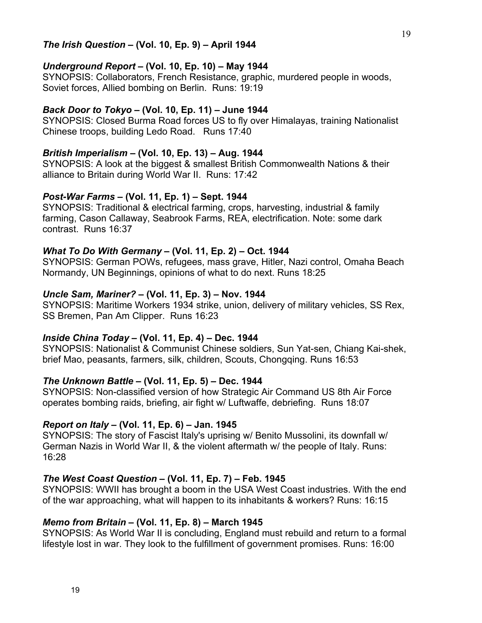### *The Irish Question* **– (Vol. 10, Ep. 9) – April 1944**

### *Underground Report* **– (Vol. 10, Ep. 10) – May 1944**

SYNOPSIS: Collaborators, French Resistance, graphic, murdered people in woods, Soviet forces, Allied bombing on Berlin. Runs: 19:19

#### *Back Door to Tokyo* **– (Vol. 10, Ep. 11) – June 1944**

SYNOPSIS: Closed Burma Road forces US to fly over Himalayas, training Nationalist Chinese troops, building Ledo Road. Runs 17:40

#### *British Imperialism* **– (Vol. 10, Ep. 13) – Aug. 1944**

SYNOPSIS: A look at the biggest & smallest British Commonwealth Nations & their alliance to Britain during World War II. Runs: 17:42

#### *Post-War Farms* **– (Vol. 11, Ep. 1) – Sept. 1944**

SYNOPSIS: Traditional & electrical farming, crops, harvesting, industrial & family farming, Cason Callaway, Seabrook Farms, REA, electrification. Note: some dark contrast. Runs 16:37

### *What To Do With Germany* **– (Vol. 11, Ep. 2) – Oct. 1944**

SYNOPSIS: German POWs, refugees, mass grave, Hitler, Nazi control, Omaha Beach Normandy, UN Beginnings, opinions of what to do next. Runs 18:25

#### *Uncle Sam, Mariner?* **– (Vol. 11, Ep. 3) – Nov. 1944**

SYNOPSIS: Maritime Workers 1934 strike, union, delivery of military vehicles, SS Rex, SS Bremen, Pan Am Clipper. Runs 16:23

## *Inside China Today* **– (Vol. 11, Ep. 4) – Dec. 1944**

SYNOPSIS: Nationalist & Communist Chinese soldiers, Sun Yat-sen, Chiang Kai-shek, brief Mao, peasants, farmers, silk, children, Scouts, Chongqing. Runs 16:53

### *The Unknown Battle* **– (Vol. 11, Ep. 5) – Dec. 1944**

SYNOPSIS: Non-classified version of how Strategic Air Command US 8th Air Force operates bombing raids, briefing, air fight w/ Luftwaffe, debriefing. Runs 18:07

### *Report on Italy* **– (Vol. 11, Ep. 6) – Jan. 1945**

SYNOPSIS: The story of Fascist Italy's uprising w/ Benito Mussolini, its downfall w/ German Nazis in World War II, & the violent aftermath w/ the people of Italy. Runs: 16:28

#### *The West Coast Question* **– (Vol. 11, Ep. 7) – Feb. 1945**

SYNOPSIS: WWII has brought a boom in the USA West Coast industries. With the end of the war approaching, what will happen to its inhabitants & workers? Runs: 16:15

### *Memo from Britain* **– (Vol. 11, Ep. 8) – March 1945**

SYNOPSIS: As World War II is concluding, England must rebuild and return to a formal lifestyle lost in war. They look to the fulfillment of government promises. Runs: 16:00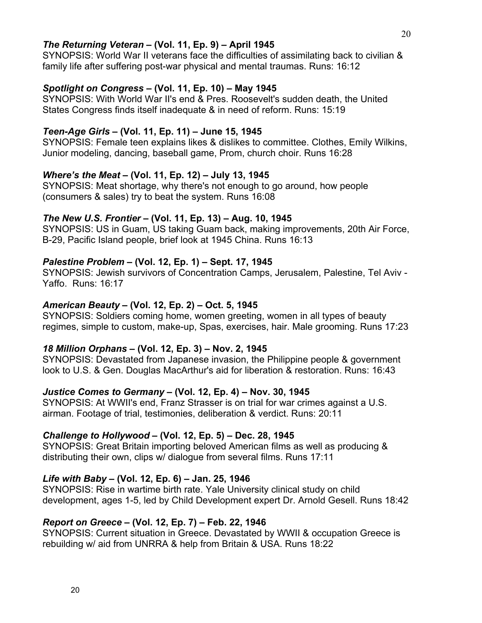### *The Returning Veteran* **– (Vol. 11, Ep. 9) – April 1945**

SYNOPSIS: World War II veterans face the difficulties of assimilating back to civilian & family life after suffering post-war physical and mental traumas. Runs: 16:12

# *Spotlight on Congress* **– (Vol. 11, Ep. 10) – May 1945**

SYNOPSIS: With World War II's end & Pres. Roosevelt's sudden death, the United States Congress finds itself inadequate & in need of reform. Runs: 15:19

# *Teen-Age Girls* **– (Vol. 11, Ep. 11) – June 15, 1945**

SYNOPSIS: Female teen explains likes & dislikes to committee. Clothes, Emily Wilkins, Junior modeling, dancing, baseball game, Prom, church choir. Runs 16:28

# *Where's the Meat* **– (Vol. 11, Ep. 12) – July 13, 1945**

SYNOPSIS: Meat shortage, why there's not enough to go around, how people (consumers & sales) try to beat the system. Runs 16:08

# *The New U.S. Frontier* **– (Vol. 11, Ep. 13) – Aug. 10, 1945**

SYNOPSIS: US in Guam, US taking Guam back, making improvements, 20th Air Force, B-29, Pacific Island people, brief look at 1945 China. Runs 16:13

# *Palestine Problem* **– (Vol. 12, Ep. 1) – Sept. 17, 1945**

SYNOPSIS: Jewish survivors of Concentration Camps, Jerusalem, Palestine, Tel Aviv - Yaffo. Runs: 16:17

# *American Beauty* **– (Vol. 12, Ep. 2) – Oct. 5, 1945**

SYNOPSIS: Soldiers coming home, women greeting, women in all types of beauty regimes, simple to custom, make-up, Spas, exercises, hair. Male grooming. Runs 17:23

# *18 Million Orphans* **– (Vol. 12, Ep. 3) – Nov. 2, 1945**

SYNOPSIS: Devastated from Japanese invasion, the Philippine people & government look to U.S. & Gen. Douglas MacArthur's aid for liberation & restoration. Runs: 16:43

# *Justice Comes to Germany* **– (Vol. 12, Ep. 4) – Nov. 30, 1945**

SYNOPSIS: At WWII's end, Franz Strasser is on trial for war crimes against a U.S. airman. Footage of trial, testimonies, deliberation & verdict. Runs: 20:11

# *Challenge to Hollywood* **– (Vol. 12, Ep. 5) – Dec. 28, 1945**

SYNOPSIS: Great Britain importing beloved American films as well as producing & distributing their own, clips w/ dialogue from several films. Runs 17:11

# *Life with Baby* **– (Vol. 12, Ep. 6) – Jan. 25, 1946**

SYNOPSIS: Rise in wartime birth rate. Yale University clinical study on child development, ages 1-5, led by Child Development expert Dr. Arnold Gesell. Runs 18:42

# *Report on Greece* **– (Vol. 12, Ep. 7) – Feb. 22, 1946**

SYNOPSIS: Current situation in Greece. Devastated by WWII & occupation Greece is rebuilding w/ aid from UNRRA & help from Britain & USA. Runs 18:22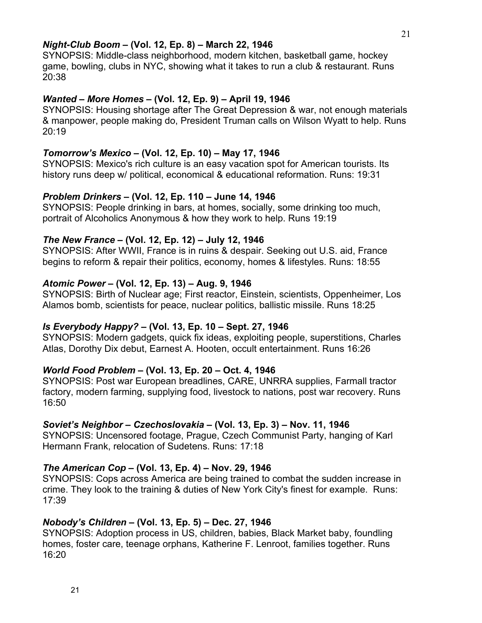### *Night-Club Boom* **– (Vol. 12, Ep. 8) – March 22, 1946**

SYNOPSIS: Middle-class neighborhood, modern kitchen, basketball game, hockey game, bowling, clubs in NYC, showing what it takes to run a club & restaurant. Runs 20:38

### *Wanted – More Homes* **– (Vol. 12, Ep. 9) – April 19, 1946**

SYNOPSIS: Housing shortage after The Great Depression & war, not enough materials & manpower, people making do, President Truman calls on Wilson Wyatt to help. Runs 20:19

### *Tomorrow's Mexico* **– (Vol. 12, Ep. 10) – May 17, 1946**

SYNOPSIS: Mexico's rich culture is an easy vacation spot for American tourists. Its history runs deep w/ political, economical & educational reformation. Runs: 19:31

#### *Problem Drinkers* **– (Vol. 12, Ep. 110 – June 14, 1946**

SYNOPSIS: People drinking in bars, at homes, socially, some drinking too much, portrait of Alcoholics Anonymous & how they work to help. Runs 19:19

#### *The New France* **– (Vol. 12, Ep. 12) – July 12, 1946**

SYNOPSIS: After WWII, France is in ruins & despair. Seeking out U.S. aid, France begins to reform & repair their politics, economy, homes & lifestyles. Runs: 18:55

#### *Atomic Power* **– (Vol. 12, Ep. 13) – Aug. 9, 1946**

SYNOPSIS: Birth of Nuclear age; First reactor, Einstein, scientists, Oppenheimer, Los Alamos bomb, scientists for peace, nuclear politics, ballistic missile. Runs 18:25

### *Is Everybody Happy?* **– (Vol. 13, Ep. 10 – Sept. 27, 1946**

SYNOPSIS: Modern gadgets, quick fix ideas, exploiting people, superstitions, Charles Atlas, Dorothy Dix debut, Earnest A. Hooten, occult entertainment. Runs 16:26

#### *World Food Problem* **– (Vol. 13, Ep. 20 – Oct. 4, 1946**

SYNOPSIS: Post war European breadlines, CARE, UNRRA supplies, Farmall tractor factory, modern farming, supplying food, livestock to nations, post war recovery. Runs 16:50

### *Soviet's Neighbor – Czechoslovakia* **– (Vol. 13, Ep. 3) – Nov. 11, 1946**

SYNOPSIS: Uncensored footage, Prague, Czech Communist Party, hanging of Karl Hermann Frank, relocation of Sudetens. Runs: 17:18

# *The American Cop* **– (Vol. 13, Ep. 4) – Nov. 29, 1946**

SYNOPSIS: Cops across America are being trained to combat the sudden increase in crime. They look to the training & duties of New York City's finest for example. Runs: 17:39

### *Nobody's Children* **– (Vol. 13, Ep. 5) – Dec. 27, 1946**

SYNOPSIS: Adoption process in US, children, babies, Black Market baby, foundling homes, foster care, teenage orphans, Katherine F. Lenroot, families together. Runs 16:20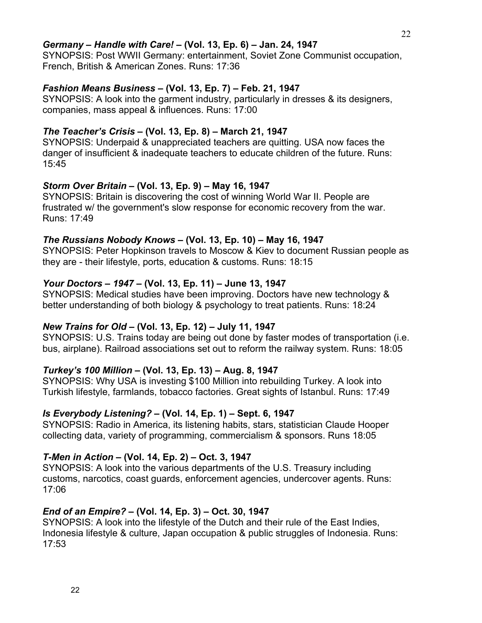# *Germany – Handle with Care!* **– (Vol. 13, Ep. 6) – Jan. 24, 1947**

SYNOPSIS: Post WWII Germany: entertainment, Soviet Zone Communist occupation, French, British & American Zones. Runs: 17:36

# *Fashion Means Business* **– (Vol. 13, Ep. 7) – Feb. 21, 1947**

SYNOPSIS: A look into the garment industry, particularly in dresses & its designers, companies, mass appeal & influences. Runs: 17:00

# *The Teacher's Crisis* **– (Vol. 13, Ep. 8) – March 21, 1947**

SYNOPSIS: Underpaid & unappreciated teachers are quitting. USA now faces the danger of insufficient & inadequate teachers to educate children of the future. Runs: 15:45

# *Storm Over Britain* **– (Vol. 13, Ep. 9) – May 16, 1947**

SYNOPSIS: Britain is discovering the cost of winning World War II. People are frustrated w/ the government's slow response for economic recovery from the war. Runs: 17:49

# *The Russians Nobody Knows* **– (Vol. 13, Ep. 10) – May 16, 1947**

SYNOPSIS: Peter Hopkinson travels to Moscow & Kiev to document Russian people as they are - their lifestyle, ports, education & customs. Runs: 18:15

# *Your Doctors – 1947* **– (Vol. 13, Ep. 11) – June 13, 1947**

SYNOPSIS: Medical studies have been improving. Doctors have new technology & better understanding of both biology & psychology to treat patients. Runs: 18:24

# *New Trains for Old* **– (Vol. 13, Ep. 12) – July 11, 1947**

SYNOPSIS: U.S. Trains today are being out done by faster modes of transportation (i.e. bus, airplane). Railroad associations set out to reform the railway system. Runs: 18:05

# *Turkey's 100 Million* **– (Vol. 13, Ep. 13) – Aug. 8, 1947**

SYNOPSIS: Why USA is investing \$100 Million into rebuilding Turkey. A look into Turkish lifestyle, farmlands, tobacco factories. Great sights of Istanbul. Runs: 17:49

# *Is Everybody Listening?* **– (Vol. 14, Ep. 1) – Sept. 6, 1947**

SYNOPSIS: Radio in America, its listening habits, stars, statistician Claude Hooper collecting data, variety of programming, commercialism & sponsors. Runs 18:05

# *T-Men in Action* **– (Vol. 14, Ep. 2) – Oct. 3, 1947**

SYNOPSIS: A look into the various departments of the U.S. Treasury including customs, narcotics, coast guards, enforcement agencies, undercover agents. Runs: 17:06

# *End of an Empire?* **– (Vol. 14, Ep. 3) – Oct. 30, 1947**

SYNOPSIS: A look into the lifestyle of the Dutch and their rule of the East Indies, Indonesia lifestyle & culture, Japan occupation & public struggles of Indonesia. Runs: 17:53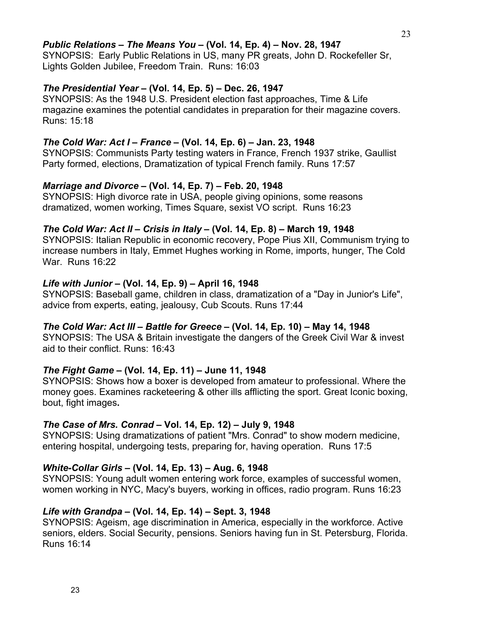## *Public Relations – The Means You* **– (Vol. 14, Ep. 4) – Nov. 28, 1947**

SYNOPSIS: Early Public Relations in US, many PR greats, John D. Rockefeller Sr, Lights Golden Jubilee, Freedom Train. Runs: 16:03

### *The Presidential Year* **– (Vol. 14, Ep. 5) – Dec. 26, 1947**

SYNOPSIS: As the 1948 U.S. President election fast approaches, Time & Life magazine examines the potential candidates in preparation for their magazine covers. Runs: 15:18

## *The Cold War: Act I – France* **– (Vol. 14, Ep. 6) – Jan. 23, 1948**

SYNOPSIS: Communists Party testing waters in France, French 1937 strike, Gaullist Party formed, elections, Dramatization of typical French family. Runs 17:57

### *Marriage and Divorce* **– (Vol. 14, Ep. 7) – Feb. 20, 1948**

SYNOPSIS: High divorce rate in USA, people giving opinions, some reasons dramatized, women working, Times Square, sexist VO script. Runs 16:23

### *The Cold War: Act II – Crisis in Italy* **– (Vol. 14, Ep. 8) – March 19, 1948**

SYNOPSIS: Italian Republic in economic recovery, Pope Pius XII, Communism trying to increase numbers in Italy, Emmet Hughes working in Rome, imports, hunger, The Cold War. Runs 16:22

### *Life with Junior* **– (Vol. 14, Ep. 9) – April 16, 1948**

SYNOPSIS: Baseball game, children in class, dramatization of a "Day in Junior's Life", advice from experts, eating, jealousy, Cub Scouts. Runs 17:44

### *The Cold War: Act III – Battle for Greece* **– (Vol. 14, Ep. 10) – May 14, 1948**

SYNOPSIS: The USA & Britain investigate the dangers of the Greek Civil War & invest aid to their conflict. Runs: 16:43

# *The Fight Game* **– (Vol. 14, Ep. 11) – June 11, 1948**

SYNOPSIS: Shows how a boxer is developed from amateur to professional. Where the money goes. Examines racketeering & other ills afflicting the sport. Great Iconic boxing, bout, fight images**.**

### *The Case of Mrs. Conrad* **– Vol. 14, Ep. 12) – July 9, 1948**

SYNOPSIS: Using dramatizations of patient "Mrs. Conrad" to show modern medicine, entering hospital, undergoing tests, preparing for, having operation. Runs 17:5

# *White-Collar Girls* **– (Vol. 14, Ep. 13) – Aug. 6, 1948**

SYNOPSIS: Young adult women entering work force, examples of successful women, women working in NYC, Macy's buyers, working in offices, radio program. Runs 16:23

# *Life with Grandpa* **– (Vol. 14, Ep. 14) – Sept. 3, 1948**

SYNOPSIS: Ageism, age discrimination in America, especially in the workforce. Active seniors, elders. Social Security, pensions. Seniors having fun in St. Petersburg, Florida. Runs 16:14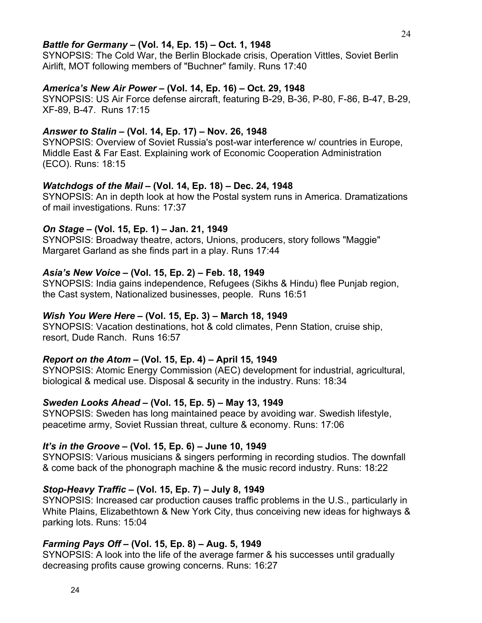### *Battle for Germany* **– (Vol. 14, Ep. 15) – Oct. 1, 1948**

SYNOPSIS: The Cold War, the Berlin Blockade crisis, Operation Vittles, Soviet Berlin Airlift, MOT following members of "Buchner" family. Runs 17:40

#### *America's New Air Power* **– (Vol. 14, Ep. 16) – Oct. 29, 1948**

SYNOPSIS: US Air Force defense aircraft, featuring B-29, B-36, P-80, F-86, B-47, B-29, XF-89, B-47. Runs 17:15

#### *Answer to Stalin* **– (Vol. 14, Ep. 17) – Nov. 26, 1948**

SYNOPSIS: Overview of Soviet Russia's post-war interference w/ countries in Europe, Middle East & Far East. Explaining work of Economic Cooperation Administration (ECO). Runs: 18:15

#### *Watchdogs of the Mail* **– (Vol. 14, Ep. 18) – Dec. 24, 1948**

SYNOPSIS: An in depth look at how the Postal system runs in America. Dramatizations of mail investigations. Runs: 17:37

### *On Stage* **– (Vol. 15, Ep. 1) – Jan. 21, 1949**

SYNOPSIS: Broadway theatre, actors, Unions, producers, story follows "Maggie" Margaret Garland as she finds part in a play. Runs 17:44

#### *Asia's New Voice* **– (Vol. 15, Ep. 2) – Feb. 18, 1949**

SYNOPSIS: India gains independence, Refugees (Sikhs & Hindu) flee Punjab region, the Cast system, Nationalized businesses, people. Runs 16:51

#### *Wish You Were Here* **– (Vol. 15, Ep. 3) – March 18, 1949**

SYNOPSIS: Vacation destinations, hot & cold climates, Penn Station, cruise ship, resort, Dude Ranch. Runs 16:57

#### *Report on the Atom* **– (Vol. 15, Ep. 4) – April 15, 1949**

SYNOPSIS: Atomic Energy Commission (AEC) development for industrial, agricultural, biological & medical use. Disposal & security in the industry. Runs: 18:34

### *Sweden Looks Ahead* **– (Vol. 15, Ep. 5) – May 13, 1949**

SYNOPSIS: Sweden has long maintained peace by avoiding war. Swedish lifestyle, peacetime army, Soviet Russian threat, culture & economy. Runs: 17:06

### *It's in the Groove* **– (Vol. 15, Ep. 6) – June 10, 1949**

SYNOPSIS: Various musicians & singers performing in recording studios. The downfall & come back of the phonograph machine & the music record industry. Runs: 18:22

### *Stop-Heavy Traffic* **– (Vol. 15, Ep. 7) – July 8, 1949**

SYNOPSIS: Increased car production causes traffic problems in the U.S., particularly in White Plains, Elizabethtown & New York City, thus conceiving new ideas for highways & parking lots. Runs: 15:04

### *Farming Pays Off* **– (Vol. 15, Ep. 8) – Aug. 5, 1949**

SYNOPSIS: A look into the life of the average farmer & his successes until gradually decreasing profits cause growing concerns. Runs: 16:27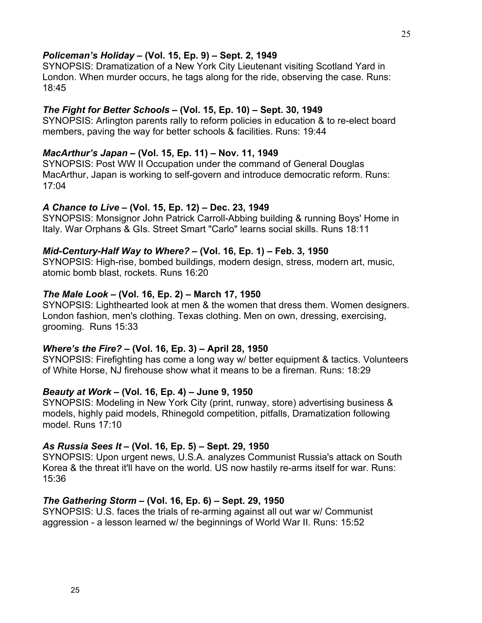### *Policeman's Holiday* **– (Vol. 15, Ep. 9) – Sept. 2, 1949**

SYNOPSIS: Dramatization of a New York City Lieutenant visiting Scotland Yard in London. When murder occurs, he tags along for the ride, observing the case. Runs: 18:45

### *The Fight for Better Schools* **– (Vol. 15, Ep. 10) – Sept. 30, 1949**

SYNOPSIS: Arlington parents rally to reform policies in education & to re-elect board members, paving the way for better schools & facilities. Runs: 19:44

#### *MacArthur's Japan* **– (Vol. 15, Ep. 11) – Nov. 11, 1949**

SYNOPSIS: Post WW II Occupation under the command of General Douglas MacArthur, Japan is working to self-govern and introduce democratic reform. Runs: 17:04

### *A Chance to Live* **– (Vol. 15, Ep. 12) – Dec. 23, 1949**

SYNOPSIS: Monsignor John Patrick Carroll-Abbing building & running Boys' Home in Italy. War Orphans & GIs. Street Smart "Carlo" learns social skills. Runs 18:11

### *Mid-Century-Half Way to Where?* **– (Vol. 16, Ep. 1) – Feb. 3, 1950**

SYNOPSIS: High-rise, bombed buildings, modern design, stress, modern art, music, atomic bomb blast, rockets. Runs 16:20

### *The Male Look* **– (Vol. 16, Ep. 2) – March 17, 1950**

SYNOPSIS: Lighthearted look at men & the women that dress them. Women designers. London fashion, men's clothing. Texas clothing. Men on own, dressing, exercising, grooming. Runs 15:33

# *Where's the Fire?* **– (Vol. 16, Ep. 3) – April 28, 1950**

SYNOPSIS: Firefighting has come a long way w/ better equipment & tactics. Volunteers of White Horse, NJ firehouse show what it means to be a fireman. Runs: 18:29

#### *Beauty at Work* **– (Vol. 16, Ep. 4) – June 9, 1950**

SYNOPSIS: Modeling in New York City (print, runway, store) advertising business & models, highly paid models, Rhinegold competition, pitfalls, Dramatization following model. Runs 17:10

### *As Russia Sees It* **– (Vol. 16, Ep. 5) – Sept. 29, 1950**

SYNOPSIS: Upon urgent news, U.S.A. analyzes Communist Russia's attack on South Korea & the threat it'll have on the world. US now hastily re-arms itself for war. Runs: 15:36

#### *The Gathering Storm* **– (Vol. 16, Ep. 6) – Sept. 29, 1950**

SYNOPSIS: U.S. faces the trials of re-arming against all out war w/ Communist aggression - a lesson learned w/ the beginnings of World War II. Runs: 15:52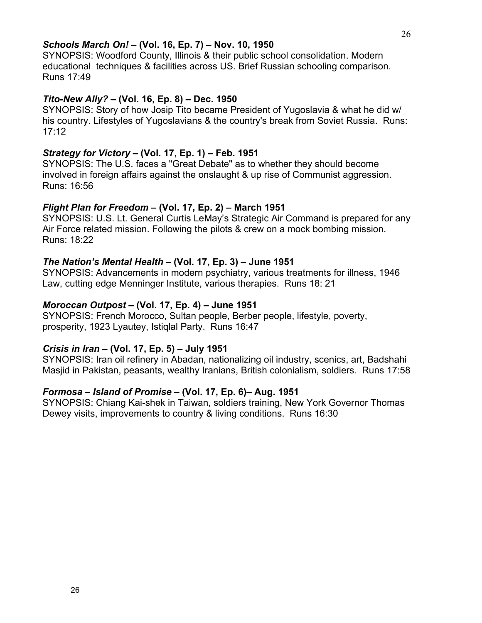### *Schools March On!* **– (Vol. 16, Ep. 7) – Nov. 10, 1950**

SYNOPSIS: Woodford County, Illinois & their public school consolidation. Modern educational techniques & facilities across US. Brief Russian schooling comparison. Runs 17:49

### *Tito-New Ally?* **– (Vol. 16, Ep. 8) – Dec. 1950**

SYNOPSIS: Story of how Josip Tito became President of Yugoslavia & what he did w/ his country. Lifestyles of Yugoslavians & the country's break from Soviet Russia. Runs: 17:12

## *Strategy for Victory* **– (Vol. 17, Ep. 1) – Feb. 1951**

SYNOPSIS: The U.S. faces a "Great Debate" as to whether they should become involved in foreign affairs against the onslaught & up rise of Communist aggression. Runs: 16:56

### *Flight Plan for Freedom* **– (Vol. 17, Ep. 2) – March 1951**

SYNOPSIS: U.S. Lt. General Curtis LeMay's Strategic Air Command is prepared for any Air Force related mission. Following the pilots & crew on a mock bombing mission. Runs: 18:22

### *The Nation's Mental Health* **– (Vol. 17, Ep. 3) – June 1951**

SYNOPSIS: Advancements in modern psychiatry, various treatments for illness, 1946 Law, cutting edge Menninger Institute, various therapies. Runs 18: 21

### *Moroccan Outpost* **– (Vol. 17, Ep. 4) – June 1951**

SYNOPSIS: French Morocco, Sultan people, Berber people, lifestyle, poverty, prosperity, 1923 Lyautey, Istiqlal Party. Runs 16:47

### *Crisis in Iran* **– (Vol. 17, Ep. 5) – July 1951**

SYNOPSIS: Iran oil refinery in Abadan, nationalizing oil industry, scenics, art, Badshahi Masjid in Pakistan, peasants, wealthy Iranians, British colonialism, soldiers. Runs 17:58

# *Formosa – Island of Promise* **– (Vol. 17, Ep. 6)– Aug. 1951**

SYNOPSIS: Chiang Kai-shek in Taiwan, soldiers training, New York Governor Thomas Dewey visits, improvements to country & living conditions. Runs 16:30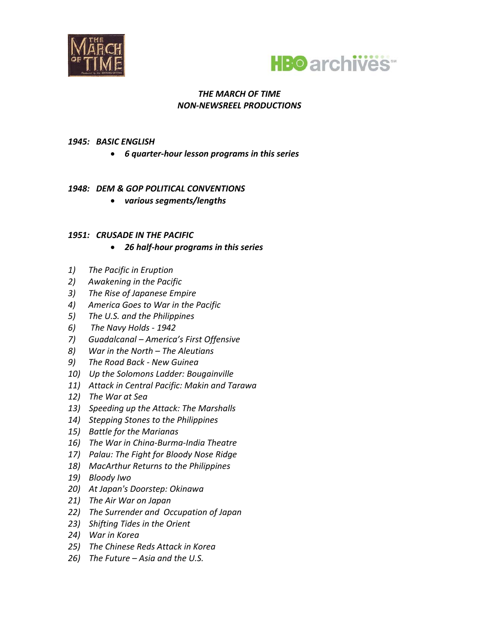



### *1945:BASIC ENGLISH*

x *6 quarterͲhour lesson programs in this series*

# *1948:DEM & GOP POLITICAL CONVENTIONS*

x *various segments/lengths*

### *1951:CRUSADE IN THE PACIFIC*

- x *26 halfͲhour programs in this series*
- *1)The Pacific in Eruption*
- *2)Awakening in the Pacific*
- *3)The Rise of Japanese Empire*
- *4)America Goes to War in the Pacific*
- *5)The U.S. and the Philippines*
- *6)The Navy HoldsͲ1942*
- *7)Guadalcanal – America's First Offensive*
- *8)War in the North – The Aleutians*
- *9)The Road BackͲNew Guinea*
- *10)Up the Solomons Ladder: Bougainville*
- *11)Attack in Central Pacific: Makin and Tarawa*
- *12)The War at Sea*
- *13)Speeding up the Attack: The Marshalls*
- *14)Stepping Stones to the Philippines*
- *15)Battle for the Marianas*
- $16$ *)* The War in China-Burma-India Theatre
- *17)Palau: The Fight for Bloody Nose Ridge*
- *18)MacArthur Returns to the Philippines*
- *19)Bloody Iwo*
- *20)At Japan's Doorstep: Okinawa*
- *21)The Air War on Japan*
- *22)The Surrender andOccupation of Japan*
- *23)Shifting Tides in the Orient*
- *24)War in Korea*
- *25)The Chinese Reds Attack in Korea*
- *26)The Future – Asia and the U.S.*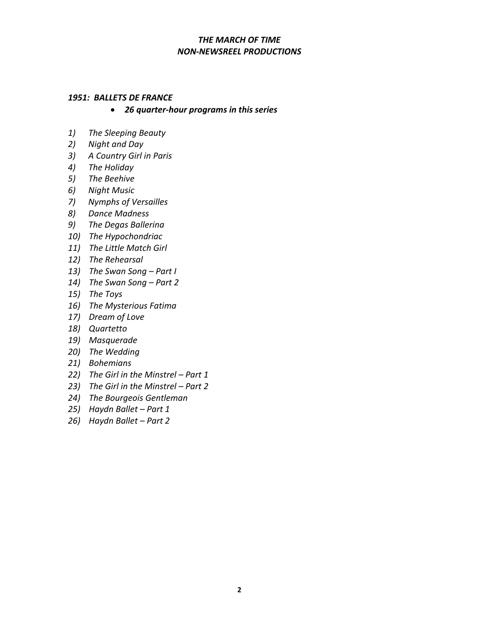#### *1951:BALLETS DE FRANCE*

- x *26 quarterͲhour programs in this series*
- *1)The Sleeping Beauty*
- *2)Night and Day*
- *3)A Country Girl in Paris*
- *4)The Holiday*
- *5)The Beehive*
- *6)Night Music*
- *7)Nymphs of Versailles*
- *8)Dance Madness*
- *9)The Degas Ballerina*
- *10)The Hypochondriac*
- *11)The Little Match Girl*
- *12)The Rehearsal*
- *13)The Swan Song – Part I*
- *14)The Swan Song – Part 2*
- *15)The Toys*
- *16)The Mysterious Fatima*
- *17)Dream of Love*
- *18)Quartetto*
- *19)Masquerade*
- *20)The Wedding*
- *21)Bohemians*
- *22)The Girl in the Minstrel – Part 1*
- *23)The Girl in the Minstrel – Part 2*
- *24)The Bourgeois Gentleman*
- *25)Haydn Ballet – Part 1*
- *26)Haydn Ballet – Part 2*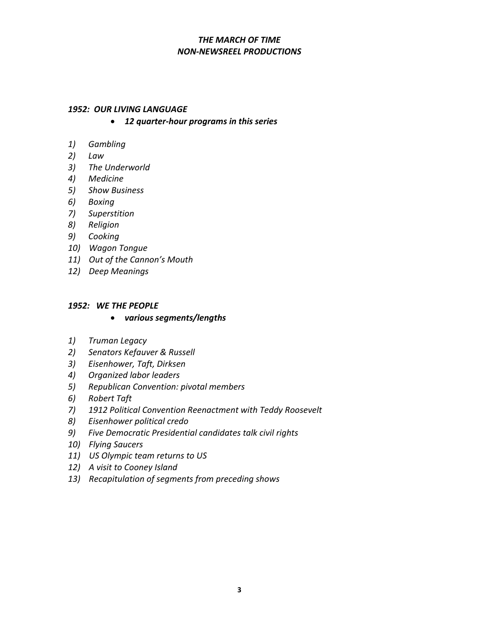#### *1952:OUR LIVING LANGUAGE*

- x *12 quarterͲhour programs in this series*
- *1)Gambling*
- *2)Law*
- *3)The Underworld*
- *4)Medicine*
- *5)Show Business*
- *6)Boxing*
- *7)Superstition*
- *8)Religion*
- *9)Cooking*
- *10)Wagon Tongue*
- *11)Out of the Cannon's Mouth*
- *12)Deep Meanings*

#### *1952:WE THE PEOPLE*

- x *various segments/lengths*
- *1)Truman Legacy*
- *2)Senators Kefauver & Russell*
- *3)Eisenhower, Taft, Dirksen*
- *4)Organized labor leaders*
- *5)Republican Convention: pivotal members*
- *6)Robert Taft*
- *7)1912 Political Convention Reenactment with Teddy Roosevelt*
- *8)Eisenhower political credo*
- *9)Five Democratic Presidential candidates talk civil rights*
- *10)Flying Saucers*
- *11)US Olympic team returns to US*
- *12)A visit to Cooney Island*
- *13)Recapitulation of segments from preceding shows*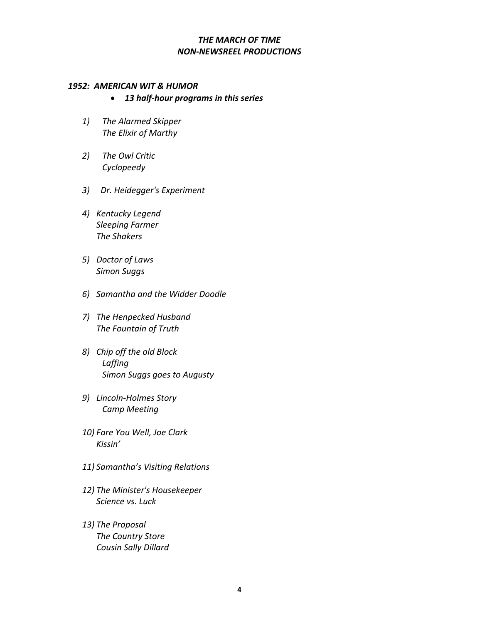#### *1952:AMERICAN WIT & HUMOR*

- x *13 halfͲhour programs in this series*
- *1) The Alarmed Skipper The Elixir of Marthy*
- *2) The Owl Critic Cyclopeedy*
- *3) Dr. Heidegger's Experiment*
- *4) Kentucky Legend Sleeping Farmer The Shakers*
- *5) Doctor of Laws Simon Suggs*
- *6) Samantha and the Widder Doodle*
- *7) The Henpecked Husband The Fountain of Truth*
- *8) Chip off the old Block Laffing Simon Suggs goes to Augusty*
- *9) LincolnͲHolmes Story Camp Meeting*
- *10) Fare You Well, Joe Clark Kissin'*
- *11) Samantha's Visiting Relations*
- *12) The Minister's Housekeeper Science vs. Luck*
- *13) The Proposal The Country Store Cousin Sally Dillard*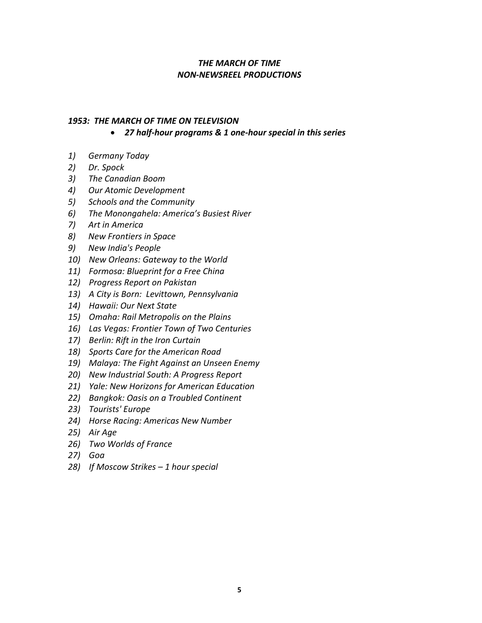## *1953:THE MARCH OF TIME ON TELEVISION*

x *27 halfͲhour programs & 1 oneͲhour special in this series*

- *1)Germany Today*
- *2)Dr. Spock*
- *3)The Canadian Boom*
- *4)Our Atomic Development*
- *5)Schools and the Community*
- *6)The Monongahela: America's Busiest River*
- *7)Art in America*
- *8)New Frontiers in Space*
- *9)New India's People*
- *10)New Orleans: Gateway to the World*
- *11)Formosa: Blueprint for a Free China*
- *12)Progress Report on Pakistan*
- *13)A City is Born:Levittown, Pennsylvania*
- *14)Hawaii: Our Next State*
- *15)Omaha: Rail Metropolis on the Plains*
- *16)Las Vegas: Frontier Town of Two Centuries*
- *17)Berlin: Rift in the Iron Curtain*
- *18)Sports Care for the American Road*
- *19)Malaya: The Fight Against an Unseen Enemy*
- *20)New Industrial South: A Progress Report*
- *21)Yale: New Horizons for American Education*
- *22)Bangkok: Oasis on a Troubled Continent*
- *23)Tourists' Europe*
- *24)Horse Racing: Americas New Number*
- *25)Air Age*
- *26)Two Worlds of France*
- *27)Goa*
- *28)If Moscow Strikes – 1 hour special*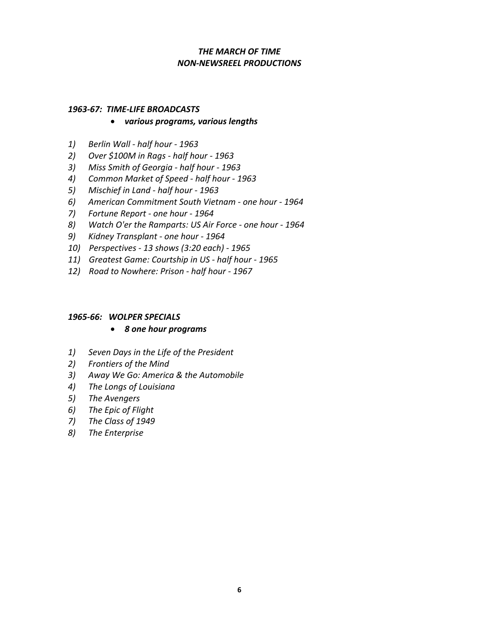#### *1963Ͳ67:TIMEͲLIFE BROADCASTS*

### x *various programs, various lengths*

- *1*) Berlin Wall half hour 1963
- *2)Over \$100M in RagsͲhalf hourͲ1963*
- *3)Miss Smith of GeorgiaͲhalf hourͲ1963*
- *4)Common Market of SpeedͲhalf hourͲ1963*
- $5)$  Mischief *in* Land  *half hour 1963*
- *6)American Commitment South VietnamͲone hourͲ1964*
- *7)Fortune ReportͲone hourͲ1964*
- *8)* Watch *O'er* the *Ramparts: US Air Force one hour 1964*
- *9)Kidney TransplantͲone hourͲ1964*
- *10)PerspectivesͲ13 shows (3:20 each)Ͳ1965*
- *11) Greatest Game: Courtship in US half hour 1965*
- *12) Road to Nowhere: Prison half hour 1967*

### *1965Ͳ66:WOLPER SPECIALS*

### x *8 one hour programs*

- *1)Seven Days in the Life of the President*
- *2)Frontiers of the Mind*
- *3)Away We Go: America & the Automobile*
- *4)The Longs of Louisiana*
- *5)The Avengers*
- *6)The Epic of Flight*
- *7)The Class of 1949*
- *8)The Enterprise*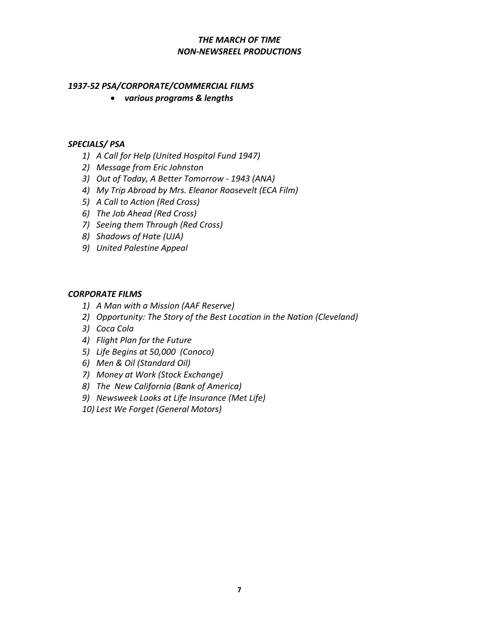# *1937Ͳ52 PSA/CORPORATE/COMMERCIAL FILMS*

x *various programs & lengths*

## *SPECIALS/ PSA*

- *1) A Call for Help (United Hospital Fund 1947)*
- *2) Message from Eric Johnston*
- *3) Out of Today, A Better TomorrowͲ1943 (ANA)*
- *4) My Trip Abroad by Mrs. Eleanor Roosevelt (ECA Film)*
- *5) A Call to Action (Red Cross)*
- *6) The Job Ahead (Red Cross)*
- *7) Seeing them Through (Red Cross)*
- *8) Shadows of Hate (UJA)*
- *9) United Palestine Appeal*

# *CORPORATE FILMS*

- *1) A Man with a Mission (AAF Reserve)*
- *2) Opportunity: The Story of the Best Location in the Nation (Cleveland)*
- *3) Coca Cola*
- *4) Flight Plan for the Future*
- *5) Life Begins at 50,000(Conoco)*
- *6) Men & Oil (Standard Oil)*
- *7) Money at Work (Stock Exchange)*
- *8) TheNew California (Bank of America)*
- *9) Newsweek Looks at Life Insurance (Met Life)*
- *10) Lest We Forget (General Motors)*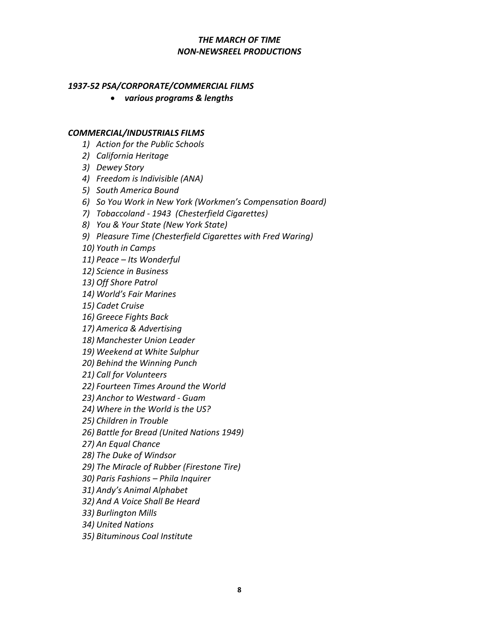### *1937Ͳ52 PSA/CORPORATE/COMMERCIAL FILMS*

x *various programs & lengths*

#### *COMMERCIAL/INDUSTRIALS FILMS*

- *1) Action for the Public Schools*
- *2) California Heritage*
- *3) Dewey Story*
- *4) Freedom is Indivisible (ANA)*
- *5) South America Bound*
- *6) So You Work in New York (Workmen's Compensation Board)*
- *7) TobaccolandͲ1943(Chesterfield Cigarettes)*
- *8) You & Your State (New York State)*
- *9) Pleasure Time (Chesterfield Cigarettes with Fred Waring)*

*10) Youth in Camps*

- *11) Peace – Its Wonderful*
- *12) Science in Business*
- *13) Off Shore Patrol*
- *14) World's Fair Marines*
- *15) Cadet Cruise*
- *16) Greece Fights Back*
- *17) America & Advertising*
- *18) Manchester Union Leader*
- *19) Weekend at White Sulphur*
- *20) Behind the Winning Punch*
- *21) Call for Volunteers*
- *22) Fourteen Times Around the World*
- *23) Anchor to WestwardͲGuam*
- *24) Where in the World is the US?*
- *25) Children in Trouble*
- *26) Battle for Bread (United Nations 1949)*
- *27) An Equal Chance*
- *28) The Duke of Windsor*
- *29) The Miracle of Rubber (Firestone Tire)*
- *30) Paris Fashions – Phila Inquirer*
- *31) Andy's Animal Alphabet*
- *32) And A Voice Shall Be Heard*
- *33) Burlington Mills*
- *34) United Nations*
- *35) Bituminous Coal Institute*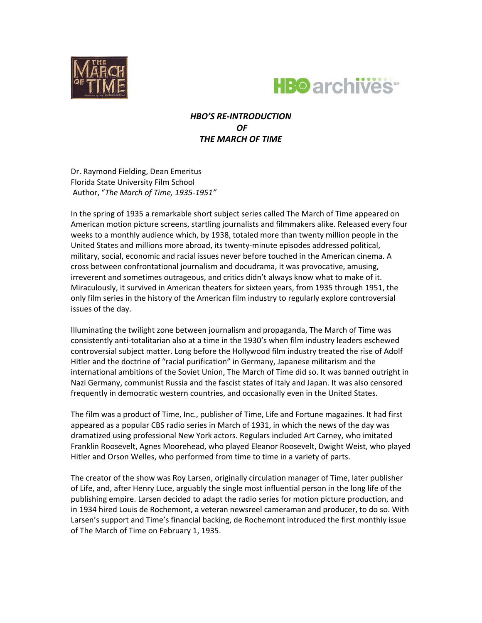



# *HBO'S REͲINTRODUCTION OF THE MARCH OF TIME*

Dr. Raymond Fielding, Dean Emeritus Florida State University Film School Author, "*The March of Time, 1935Ͳ1951"*

In the spring of 1935 a remarkable short subject series called The March of Time appeared on American motion picture screens, startling journalists and filmmakers alike. Released every four weeks to a monthly audience which, by 1938, totaled more than twenty million people in the United States and millions more abroad, its twenty-minute episodes addressed political, military, social, economic and racial issues never before touched in the American cinema. A cross between confrontational journalism and docudrama, it was provocative, amusing, irreverent and sometimes outrageous, and critics didn't always know what to make of it. Miraculously, it survived in American theaters for sixteen years, from 1935 through 1951, the only film series in the history of the American film industry to regularly explore controversial issues of the day.

Illuminating the twilight zone between journalism and propaganda, The March of Time was consistently anti-totalitarian also at a time in the 1930's when film industry leaders eschewed controversial subject matter. Long before the Hollywood film industry treated the rise of Adolf Hitler and the doctrine of "racial purification" in Germany, Japanese militarism and the international ambitions of the Soviet Union, The March of Time did so. It was banned outright in Nazi Germany, communist Russia and the fascist states of Italy and Japan. It was also censored frequently in democratic western countries, and occasionally even in the United States.

The film was a product of Time, Inc., publisher of Time, Life and Fortune magazines. It had first appeared as a popular CBS radio series in March of 1931, in which the news of the day was dramatized using professional New York actors. Regulars included Art Carney, who imitated Franklin Roosevelt, Agnes Moorehead, who played Eleanor Roosevelt, Dwight Weist, who played Hitler and Orson Welles, who performed from time to time in a variety of parts.

The creator of the show was Roy Larsen, originally circulation manager of Time, later publisher of Life, and, after Henry Luce, arguably the single most influential person in the long life of the publishing empire. Larsen decided to adapt the radio series for motion picture production, and in 1934 hired Louis de Rochemont, a veteran newsreel cameraman and producer, to do so. With Larsen's support and Time's financial backing, de Rochemont introduced the first monthly issue of The March of Time on February 1, 1935.